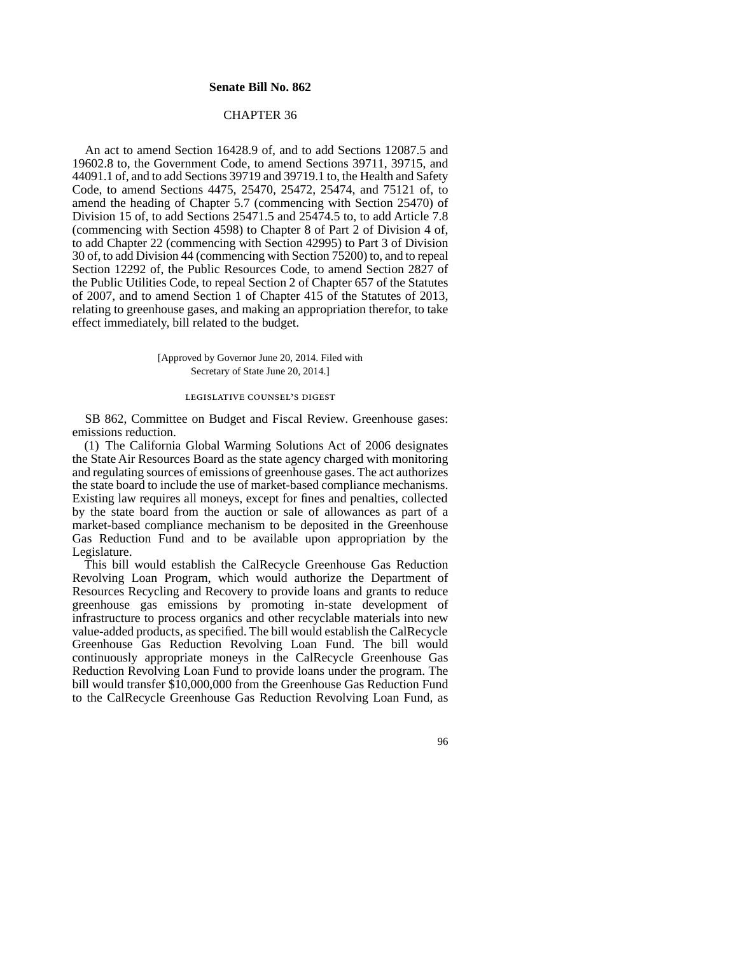### **Senate Bill No. 862**

# CHAPTER 36

An act to amend Section 16428.9 of, and to add Sections 12087.5 and 19602.8 to, the Government Code, to amend Sections 39711, 39715, and 44091.1 of, and to add Sections 39719 and 39719.1 to, the Health and Safety Code, to amend Sections 4475, 25470, 25472, 25474, and 75121 of, to amend the heading of Chapter 5.7 (commencing with Section 25470) of Division 15 of, to add Sections 25471.5 and 25474.5 to, to add Article 7.8 (commencing with Section 4598) to Chapter 8 of Part 2 of Division 4 of, to add Chapter 22 (commencing with Section 42995) to Part 3 of Division 30 of, to add Division 44 (commencing with Section 75200) to, and to repeal Section 12292 of, the Public Resources Code, to amend Section 2827 of the Public Utilities Code, to repeal Section 2 of Chapter 657 of the Statutes of 2007, and to amend Section 1 of Chapter 415 of the Statutes of 2013, relating to greenhouse gases, and making an appropriation therefor, to take effect immediately, bill related to the budget.

> [Approved by Governor June 20, 2014. Filed with Secretary of State June 20, 2014.]

# legislative counsel' s digest

SB 862, Committee on Budget and Fiscal Review. Greenhouse gases: emissions reduction.

(1) The California Global Warming Solutions Act of 2006 designates the State Air Resources Board as the state agency charged with monitoring and regulating sources of emissions of greenhouse gases. The act authorizes the state board to include the use of market-based compliance mechanisms. Existing law requires all moneys, except for fines and penalties, collected by the state board from the auction or sale of allowances as part of a market-based compliance mechanism to be deposited in the Greenhouse Gas Reduction Fund and to be available upon appropriation by the Legislature.

This bill would establish the CalRecycle Greenhouse Gas Reduction Revolving Loan Program, which would authorize the Department of Resources Recycling and Recovery to provide loans and grants to reduce greenhouse gas emissions by promoting in-state development of infrastructure to process organics and other recyclable materials into new value-added products, as specified. The bill would establish the CalRecycle Greenhouse Gas Reduction Revolving Loan Fund. The bill would continuously appropriate moneys in the CalRecycle Greenhouse Gas Reduction Revolving Loan Fund to provide loans under the program. The bill would transfer \$10,000,000 from the Greenhouse Gas Reduction Fund to the CalRecycle Greenhouse Gas Reduction Revolving Loan Fund, as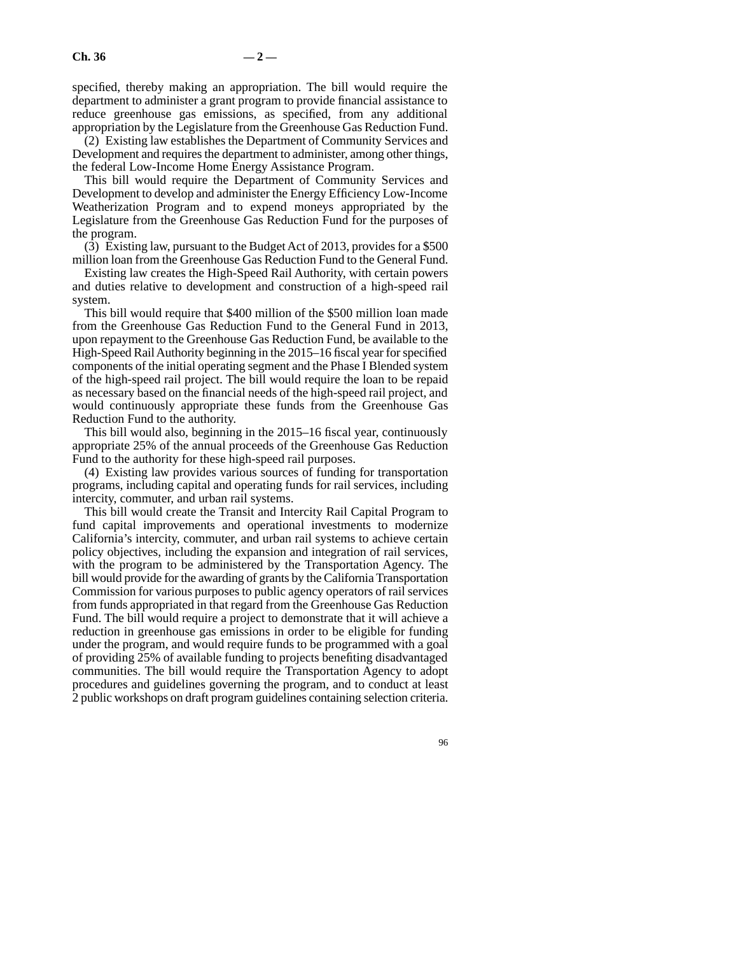specified, thereby making an appropriation. The bill would require the department to administer a grant program to provide financial assistance to reduce greenhouse gas emissions, as specified, from any additional appropriation by the Legislature from the Greenhouse Gas Reduction Fund.

(2) Existing law establishes the Department of Community Services and Development and requires the department to administer, among other things, the federal Low-Income Home Energy Assistance Program.

This bill would require the Department of Community Services and Development to develop and administer the Energy Efficiency Low-Income Weatherization Program and to expend moneys appropriated by the Legislature from the Greenhouse Gas Reduction Fund for the purposes of the program.

(3) Existing law, pursuant to the Budget Act of 2013, provides for a \$500 million loan from the Greenhouse Gas Reduction Fund to the General Fund.

Existing law creates the High-Speed Rail Authority, with certain powers and duties relative to development and construction of a high-speed rail system.

This bill would require that \$400 million of the \$500 million loan made from the Greenhouse Gas Reduction Fund to the General Fund in 2013, upon repayment to the Greenhouse Gas Reduction Fund, be available to the High-Speed Rail Authority beginning in the 2015–16 fiscal year for specified components of the initial operating segment and the Phase I Blended system of the high-speed rail project. The bill would require the loan to be repaid as necessary based on the financial needs of the high-speed rail project, and would continuously appropriate these funds from the Greenhouse Gas Reduction Fund to the authority.

This bill would also, beginning in the 2015–16 fiscal year, continuously appropriate 25% of the annual proceeds of the Greenhouse Gas Reduction Fund to the authority for these high-speed rail purposes.

(4) Existing law provides various sources of funding for transportation programs, including capital and operating funds for rail services, including intercity, commuter, and urban rail systems.

This bill would create the Transit and Intercity Rail Capital Program to fund capital improvements and operational investments to modernize California's intercity, commuter, and urban rail systems to achieve certain policy objectives, including the expansion and integration of rail services, with the program to be administered by the Transportation Agency. The bill would provide for the awarding of grants by the California Transportation Commission for various purposes to public agency operators of rail services from funds appropriated in that regard from the Greenhouse Gas Reduction Fund. The bill would require a project to demonstrate that it will achieve a reduction in greenhouse gas emissions in order to be eligible for funding under the program, and would require funds to be programmed with a goal of providing 25% of available funding to projects benefiting disadvantaged communities. The bill would require the Transportation Agency to adopt procedures and guidelines governing the program, and to conduct at least 2 public workshops on draft program guidelines containing selection criteria.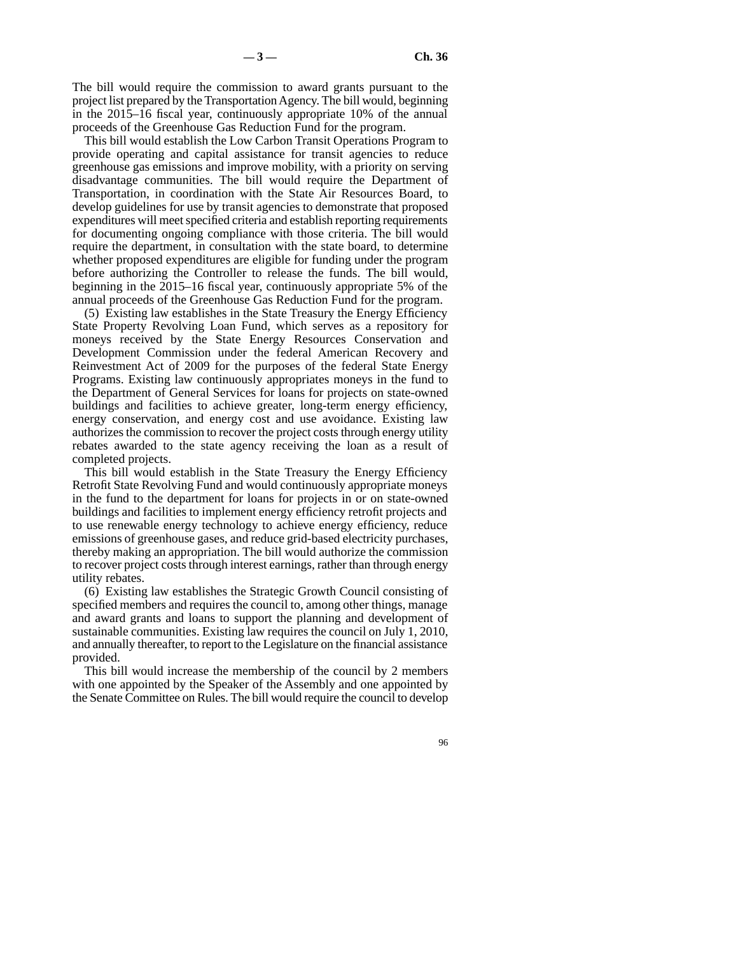The bill would require the commission to award grants pursuant to the project list prepared by the Transportation Agency. The bill would, beginning in the 2015–16 fiscal year, continuously appropriate 10% of the annual proceeds of the Greenhouse Gas Reduction Fund for the program.

This bill would establish the Low Carbon Transit Operations Program to provide operating and capital assistance for transit agencies to reduce greenhouse gas emissions and improve mobility, with a priority on serving disadvantage communities. The bill would require the Department of Transportation, in coordination with the State Air Resources Board, to develop guidelines for use by transit agencies to demonstrate that proposed expenditures will meet specified criteria and establish reporting requirements for documenting ongoing compliance with those criteria. The bill would require the department, in consultation with the state board, to determine whether proposed expenditures are eligible for funding under the program before authorizing the Controller to release the funds. The bill would, beginning in the 2015–16 fiscal year, continuously appropriate 5% of the annual proceeds of the Greenhouse Gas Reduction Fund for the program.

(5) Existing law establishes in the State Treasury the Energy Efficiency State Property Revolving Loan Fund, which serves as a repository for moneys received by the State Energy Resources Conservation and Development Commission under the federal American Recovery and Reinvestment Act of 2009 for the purposes of the federal State Energy Programs. Existing law continuously appropriates moneys in the fund to the Department of General Services for loans for projects on state-owned buildings and facilities to achieve greater, long-term energy efficiency, energy conservation, and energy cost and use avoidance. Existing law authorizes the commission to recover the project costs through energy utility rebates awarded to the state agency receiving the loan as a result of completed projects.

This bill would establish in the State Treasury the Energy Efficiency Retrofit State Revolving Fund and would continuously appropriate moneys in the fund to the department for loans for projects in or on state-owned buildings and facilities to implement energy efficiency retrofit projects and to use renewable energy technology to achieve energy efficiency, reduce emissions of greenhouse gases, and reduce grid-based electricity purchases, thereby making an appropriation. The bill would authorize the commission to recover project costs through interest earnings, rather than through energy utility rebates.

(6) Existing law establishes the Strategic Growth Council consisting of specified members and requires the council to, among other things, manage and award grants and loans to support the planning and development of sustainable communities. Existing law requires the council on July 1, 2010, and annually thereafter, to report to the Legislature on the financial assistance provided.

This bill would increase the membership of the council by 2 members with one appointed by the Speaker of the Assembly and one appointed by the Senate Committee on Rules. The bill would require the council to develop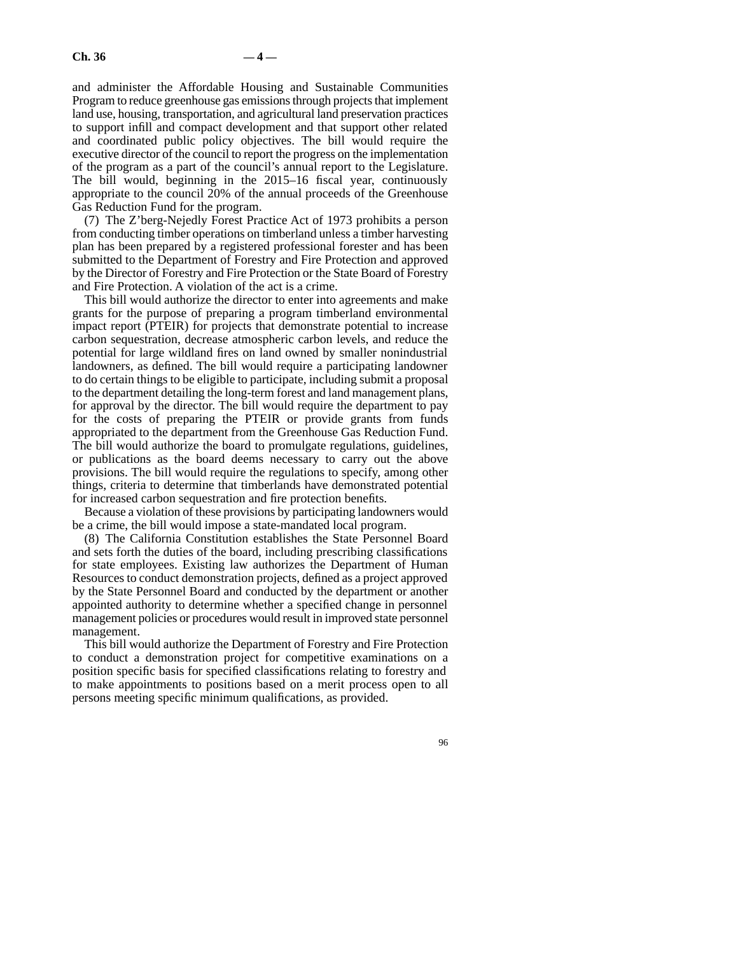and administer the Affordable Housing and Sustainable Communities Program to reduce greenhouse gas emissions through projects that implement land use, housing, transportation, and agricultural land preservation practices to support infill and compact development and that support other related and coordinated public policy objectives. The bill would require the executive director of the council to report the progress on the implementation of the program as a part of the council's annual report to the Legislature. The bill would, beginning in the 2015–16 fiscal year, continuously appropriate to the council 20% of the annual proceeds of the Greenhouse Gas Reduction Fund for the program.

(7) The Z'berg-Nejedly Forest Practice Act of 1973 prohibits a person from conducting timber operations on timberland unless a timber harvesting plan has been prepared by a registered professional forester and has been submitted to the Department of Forestry and Fire Protection and approved by the Director of Forestry and Fire Protection or the State Board of Forestry and Fire Protection. A violation of the act is a crime.

This bill would authorize the director to enter into agreements and make grants for the purpose of preparing a program timberland environmental impact report (PTEIR) for projects that demonstrate potential to increase carbon sequestration, decrease atmospheric carbon levels, and reduce the potential for large wildland fires on land owned by smaller nonindustrial landowners, as defined. The bill would require a participating landowner to do certain things to be eligible to participate, including submit a proposal to the department detailing the long-term forest and land management plans, for approval by the director. The bill would require the department to pay for the costs of preparing the PTEIR or provide grants from funds appropriated to the department from the Greenhouse Gas Reduction Fund. The bill would authorize the board to promulgate regulations, guidelines, or publications as the board deems necessary to carry out the above provisions. The bill would require the regulations to specify, among other things, criteria to determine that timberlands have demonstrated potential for increased carbon sequestration and fire protection benefits.

Because a violation of these provisions by participating landowners would be a crime, the bill would impose a state-mandated local program.

(8) The California Constitution establishes the State Personnel Board and sets forth the duties of the board, including prescribing classifications for state employees. Existing law authorizes the Department of Human Resources to conduct demonstration projects, defined as a project approved by the State Personnel Board and conducted by the department or another appointed authority to determine whether a specified change in personnel management policies or procedures would result in improved state personnel management.

This bill would authorize the Department of Forestry and Fire Protection to conduct a demonstration project for competitive examinations on a position specific basis for specified classifications relating to forestry and to make appointments to positions based on a merit process open to all persons meeting specific minimum qualifications, as provided.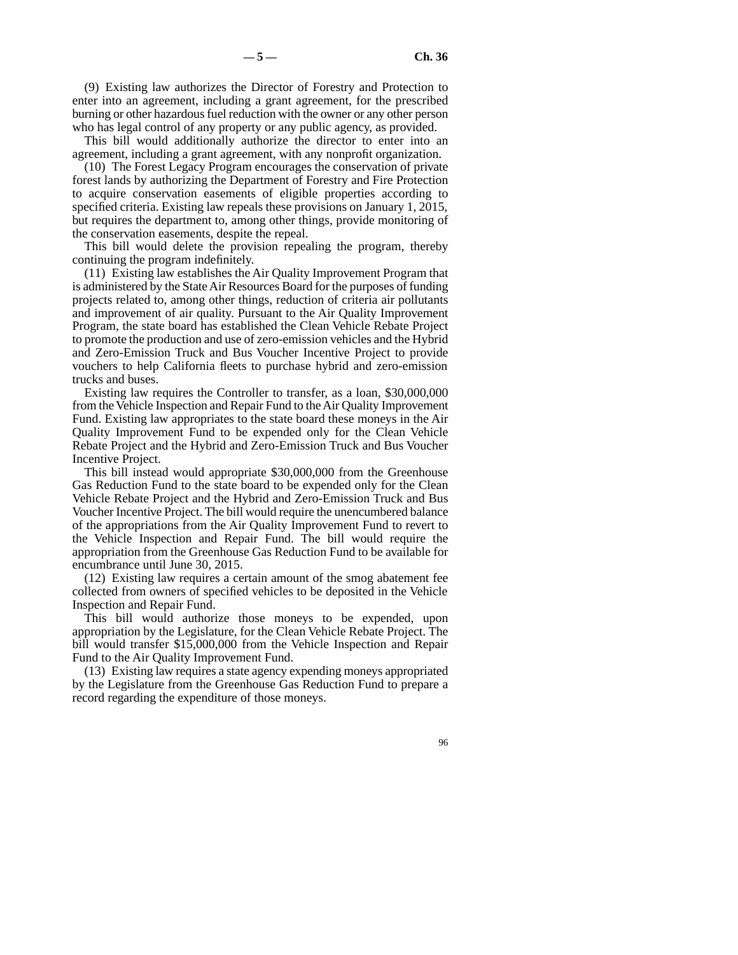(9) Existing law authorizes the Director of Forestry and Protection to enter into an agreement, including a grant agreement, for the prescribed burning or other hazardous fuel reduction with the owner or any other person who has legal control of any property or any public agency, as provided.

This bill would additionally authorize the director to enter into an agreement, including a grant agreement, with any nonprofit organization.

(10) The Forest Legacy Program encourages the conservation of private forest lands by authorizing the Department of Forestry and Fire Protection to acquire conservation easements of eligible properties according to specified criteria. Existing law repeals these provisions on January 1, 2015, but requires the department to, among other things, provide monitoring of the conservation easements, despite the repeal.

This bill would delete the provision repealing the program, thereby continuing the program indefinitely.

(11) Existing law establishes the Air Quality Improvement Program that is administered by the State Air Resources Board for the purposes of funding projects related to, among other things, reduction of criteria air pollutants and improvement of air quality. Pursuant to the Air Quality Improvement Program, the state board has established the Clean Vehicle Rebate Project to promote the production and use of zero-emission vehicles and the Hybrid and Zero-Emission Truck and Bus Voucher Incentive Project to provide vouchers to help California fleets to purchase hybrid and zero-emission trucks and buses.

Existing law requires the Controller to transfer, as a loan, \$30,000,000 from the Vehicle Inspection and Repair Fund to the Air Quality Improvement Fund. Existing law appropriates to the state board these moneys in the Air Quality Improvement Fund to be expended only for the Clean Vehicle Rebate Project and the Hybrid and Zero-Emission Truck and Bus Voucher Incentive Project.

This bill instead would appropriate \$30,000,000 from the Greenhouse Gas Reduction Fund to the state board to be expended only for the Clean Vehicle Rebate Project and the Hybrid and Zero-Emission Truck and Bus Voucher Incentive Project. The bill would require the unencumbered balance of the appropriations from the Air Quality Improvement Fund to revert to the Vehicle Inspection and Repair Fund. The bill would require the appropriation from the Greenhouse Gas Reduction Fund to be available for encumbrance until June 30, 2015.

(12) Existing law requires a certain amount of the smog abatement fee collected from owners of specified vehicles to be deposited in the Vehicle Inspection and Repair Fund.

This bill would authorize those moneys to be expended, upon appropriation by the Legislature, for the Clean Vehicle Rebate Project. The bill would transfer \$15,000,000 from the Vehicle Inspection and Repair Fund to the Air Quality Improvement Fund.

(13) Existing law requires a state agency expending moneys appropriated by the Legislature from the Greenhouse Gas Reduction Fund to prepare a record regarding the expenditure of those moneys.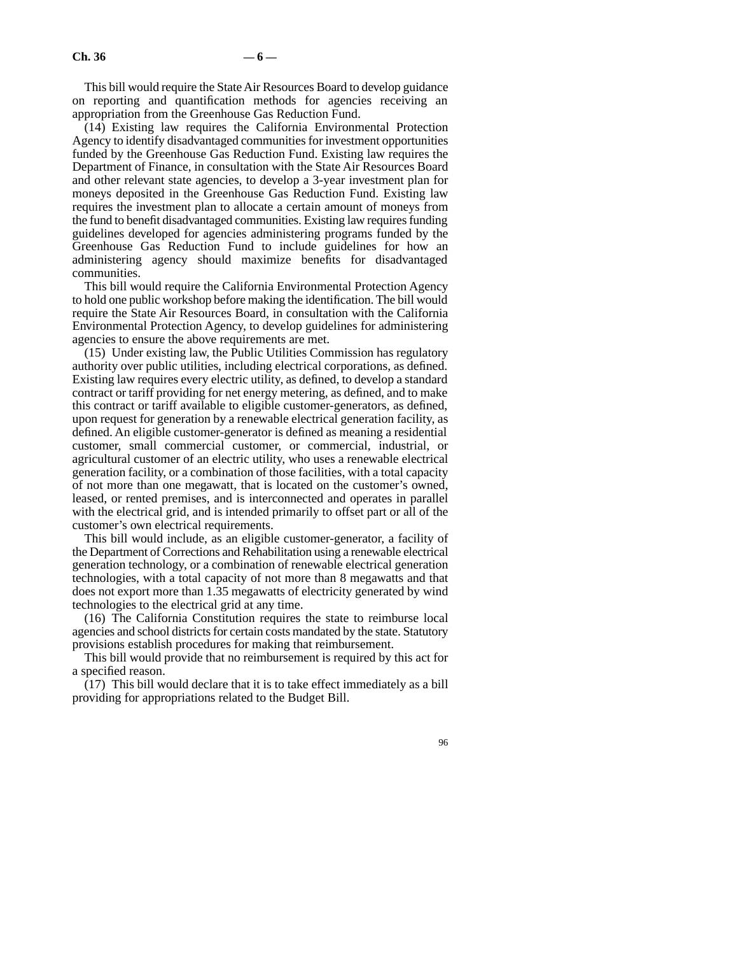This bill would require the State Air Resources Board to develop guidance on reporting and quantification methods for agencies receiving an appropriation from the Greenhouse Gas Reduction Fund.

(14) Existing law requires the California Environmental Protection Agency to identify disadvantaged communities for investment opportunities funded by the Greenhouse Gas Reduction Fund. Existing law requires the Department of Finance, in consultation with the State Air Resources Board and other relevant state agencies, to develop a 3-year investment plan for moneys deposited in the Greenhouse Gas Reduction Fund. Existing law requires the investment plan to allocate a certain amount of moneys from the fund to benefit disadvantaged communities. Existing law requires funding guidelines developed for agencies administering programs funded by the Greenhouse Gas Reduction Fund to include guidelines for how an administering agency should maximize benefits for disadvantaged communities.

This bill would require the California Environmental Protection Agency to hold one public workshop before making the identification. The bill would require the State Air Resources Board, in consultation with the California Environmental Protection Agency, to develop guidelines for administering agencies to ensure the above requirements are met.

(15) Under existing law, the Public Utilities Commission has regulatory authority over public utilities, including electrical corporations, as defined. Existing law requires every electric utility, as defined, to develop a standard contract or tariff providing for net energy metering, as defined, and to make this contract or tariff available to eligible customer-generators, as defined, upon request for generation by a renewable electrical generation facility, as defined. An eligible customer-generator is defined as meaning a residential customer, small commercial customer, or commercial, industrial, or agricultural customer of an electric utility, who uses a renewable electrical generation facility, or a combination of those facilities, with a total capacity of not more than one megawatt, that is located on the customer's owned, leased, or rented premises, and is interconnected and operates in parallel with the electrical grid, and is intended primarily to offset part or all of the customer's own electrical requirements.

This bill would include, as an eligible customer-generator, a facility of the Department of Corrections and Rehabilitation using a renewable electrical generation technology, or a combination of renewable electrical generation technologies, with a total capacity of not more than 8 megawatts and that does not export more than 1.35 megawatts of electricity generated by wind technologies to the electrical grid at any time.

(16) The California Constitution requires the state to reimburse local agencies and school districts for certain costs mandated by the state. Statutory provisions establish procedures for making that reimbursement.

This bill would provide that no reimbursement is required by this act for a specified reason.

(17) This bill would declare that it is to take effect immediately as a bill providing for appropriations related to the Budget Bill.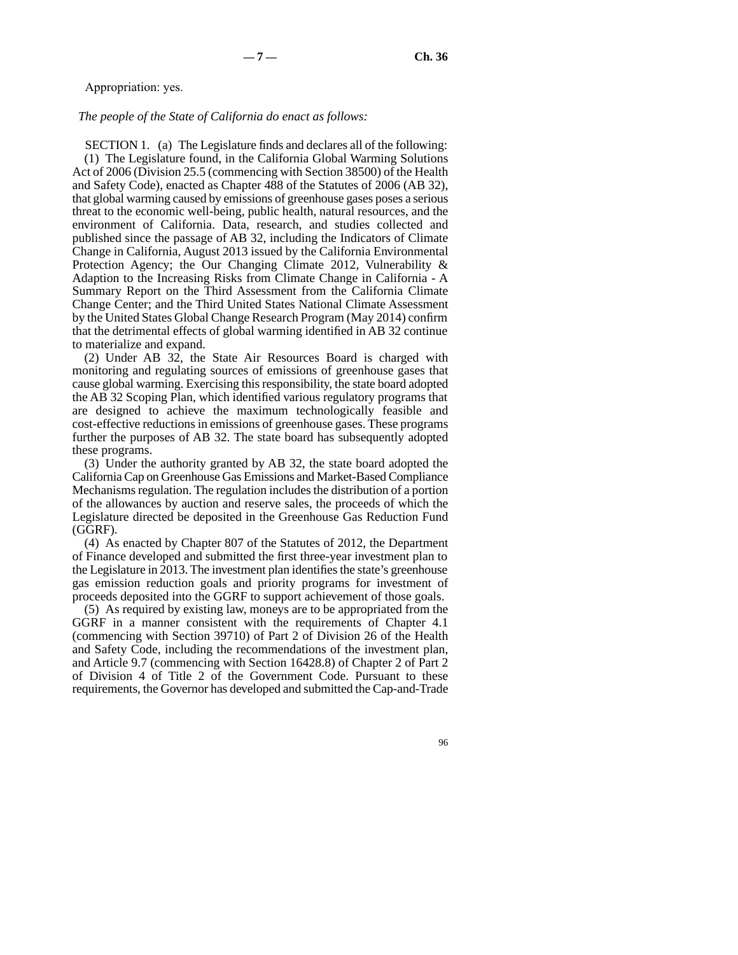Appropriation: yes.

#### *The people of the State of California do enact as follows:*

SECTION 1. (a) The Legislature finds and declares all of the following: (1) The Legislature found, in the California Global Warming Solutions Act of 2006 (Division 25.5 (commencing with Section 38500) of the Health and Safety Code), enacted as Chapter 488 of the Statutes of 2006 (AB 32), that global warming caused by emissions of greenhouse gases poses a serious threat to the economic well-being, public health, natural resources, and the environment of California. Data, research, and studies collected and published since the passage of AB 32, including the Indicators of Climate Change in California, August 2013 issued by the California Environmental Protection Agency; the Our Changing Climate 2012, Vulnerability & Adaption to the Increasing Risks from Climate Change in California - A Summary Report on the Third Assessment from the California Climate Change Center; and the Third United States National Climate Assessment by the United States Global Change Research Program (May 2014) confirm that the detrimental effects of global warming identified in AB 32 continue to materialize and expand.

(2) Under AB 32, the State Air Resources Board is charged with monitoring and regulating sources of emissions of greenhouse gases that cause global warming. Exercising this responsibility, the state board adopted the AB 32 Scoping Plan, which identified various regulatory programs that are designed to achieve the maximum technologically feasible and cost-effective reductions in emissions of greenhouse gases. These programs further the purposes of AB 32. The state board has subsequently adopted these programs.

(3) Under the authority granted by AB 32, the state board adopted the California Cap on Greenhouse Gas Emissions and Market-Based Compliance Mechanisms regulation. The regulation includes the distribution of a portion of the allowances by auction and reserve sales, the proceeds of which the Legislature directed be deposited in the Greenhouse Gas Reduction Fund (GGRF).

(4) As enacted by Chapter 807 of the Statutes of 2012, the Department of Finance developed and submitted the first three-year investment plan to the Legislature in 2013. The investment plan identifies the state's greenhouse gas emission reduction goals and priority programs for investment of proceeds deposited into the GGRF to support achievement of those goals.

(5) As required by existing law, moneys are to be appropriated from the GGRF in a manner consistent with the requirements of Chapter 4.1 (commencing with Section 39710) of Part 2 of Division 26 of the Health and Safety Code, including the recommendations of the investment plan, and Article 9.7 (commencing with Section 16428.8) of Chapter 2 of Part 2 of Division 4 of Title 2 of the Government Code. Pursuant to these requirements, the Governor has developed and submitted the Cap-and-Trade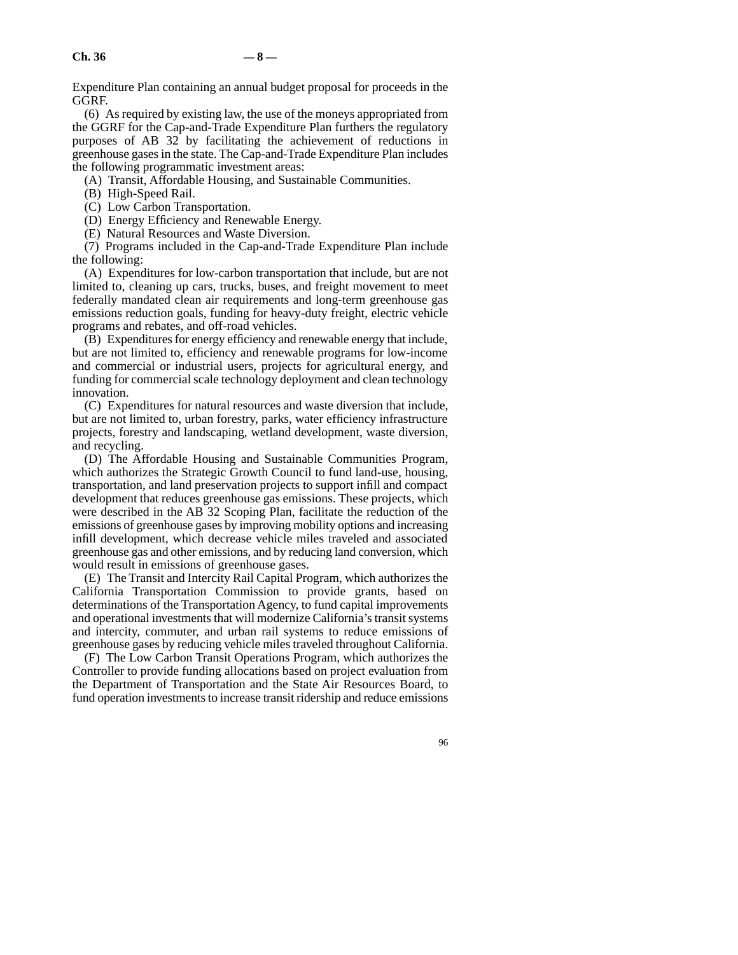Expenditure Plan containing an annual budget proposal for proceeds in the GGRF.

(6) As required by existing law, the use of the moneys appropriated from the GGRF for the Cap-and-Trade Expenditure Plan furthers the regulatory purposes of AB 32 by facilitating the achievement of reductions in greenhouse gases in the state. The Cap-and-Trade Expenditure Plan includes the following programmatic investment areas:

(A) Transit, Affordable Housing, and Sustainable Communities.

(B) High-Speed Rail.

(C) Low Carbon Transportation.

(D) Energy Efficiency and Renewable Energy.

(E) Natural Resources and Waste Diversion.

(7) Programs included in the Cap-and-Trade Expenditure Plan include the following:

(A) Expenditures for low-carbon transportation that include, but are not limited to, cleaning up cars, trucks, buses, and freight movement to meet federally mandated clean air requirements and long-term greenhouse gas emissions reduction goals, funding for heavy-duty freight, electric vehicle programs and rebates, and off-road vehicles.

(B) Expenditures for energy efficiency and renewable energy that include, but are not limited to, efficiency and renewable programs for low-income and commercial or industrial users, projects for agricultural energy, and funding for commercial scale technology deployment and clean technology innovation.

(C) Expenditures for natural resources and waste diversion that include, but are not limited to, urban forestry, parks, water efficiency infrastructure projects, forestry and landscaping, wetland development, waste diversion, and recycling.

(D) The Affordable Housing and Sustainable Communities Program, which authorizes the Strategic Growth Council to fund land-use, housing, transportation, and land preservation projects to support infill and compact development that reduces greenhouse gas emissions. These projects, which were described in the AB 32 Scoping Plan, facilitate the reduction of the emissions of greenhouse gases by improving mobility options and increasing infill development, which decrease vehicle miles traveled and associated greenhouse gas and other emissions, and by reducing land conversion, which would result in emissions of greenhouse gases.

(E) The Transit and Intercity Rail Capital Program, which authorizes the California Transportation Commission to provide grants, based on determinations of the Transportation Agency, to fund capital improvements and operational investments that will modernize California's transit systems and intercity, commuter, and urban rail systems to reduce emissions of greenhouse gases by reducing vehicle miles traveled throughout California.

(F) The Low Carbon Transit Operations Program, which authorizes the Controller to provide funding allocations based on project evaluation from the Department of Transportation and the State Air Resources Board, to fund operation investments to increase transit ridership and reduce emissions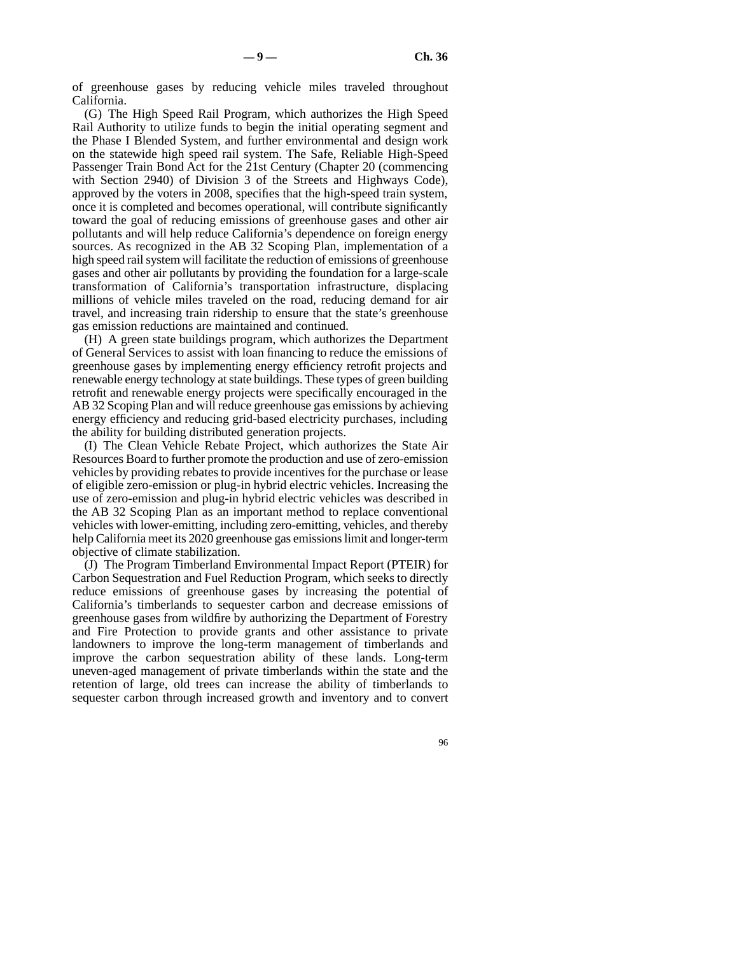of greenhouse gases by reducing vehicle miles traveled throughout California.

(G) The High Speed Rail Program, which authorizes the High Speed Rail Authority to utilize funds to begin the initial operating segment and the Phase I Blended System, and further environmental and design work on the statewide high speed rail system. The Safe, Reliable High-Speed Passenger Train Bond Act for the 21st Century (Chapter 20 (commencing with Section 2940) of Division 3 of the Streets and Highways Code), approved by the voters in 2008, specifies that the high-speed train system, once it is completed and becomes operational, will contribute significantly toward the goal of reducing emissions of greenhouse gases and other air pollutants and will help reduce California's dependence on foreign energy sources. As recognized in the AB 32 Scoping Plan, implementation of a high speed rail system will facilitate the reduction of emissions of greenhouse gases and other air pollutants by providing the foundation for a large-scale transformation of California's transportation infrastructure, displacing millions of vehicle miles traveled on the road, reducing demand for air travel, and increasing train ridership to ensure that the state's greenhouse gas emission reductions are maintained and continued.

(H) A green state buildings program, which authorizes the Department of General Services to assist with loan financing to reduce the emissions of greenhouse gases by implementing energy efficiency retrofit projects and renewable energy technology at state buildings. These types of green building retrofit and renewable energy projects were specifically encouraged in the AB 32 Scoping Plan and will reduce greenhouse gas emissions by achieving energy efficiency and reducing grid-based electricity purchases, including the ability for building distributed generation projects.

(I) The Clean Vehicle Rebate Project, which authorizes the State Air Resources Board to further promote the production and use of zero-emission vehicles by providing rebates to provide incentives for the purchase or lease of eligible zero-emission or plug-in hybrid electric vehicles. Increasing the use of zero-emission and plug-in hybrid electric vehicles was described in the AB 32 Scoping Plan as an important method to replace conventional vehicles with lower-emitting, including zero-emitting, vehicles, and thereby help California meet its 2020 greenhouse gas emissions limit and longer-term objective of climate stabilization.

(J) The Program Timberland Environmental Impact Report (PTEIR) for Carbon Sequestration and Fuel Reduction Program, which seeks to directly reduce emissions of greenhouse gases by increasing the potential of California's timberlands to sequester carbon and decrease emissions of greenhouse gases from wildfire by authorizing the Department of Forestry and Fire Protection to provide grants and other assistance to private landowners to improve the long-term management of timberlands and improve the carbon sequestration ability of these lands. Long-term uneven-aged management of private timberlands within the state and the retention of large, old trees can increase the ability of timberlands to sequester carbon through increased growth and inventory and to convert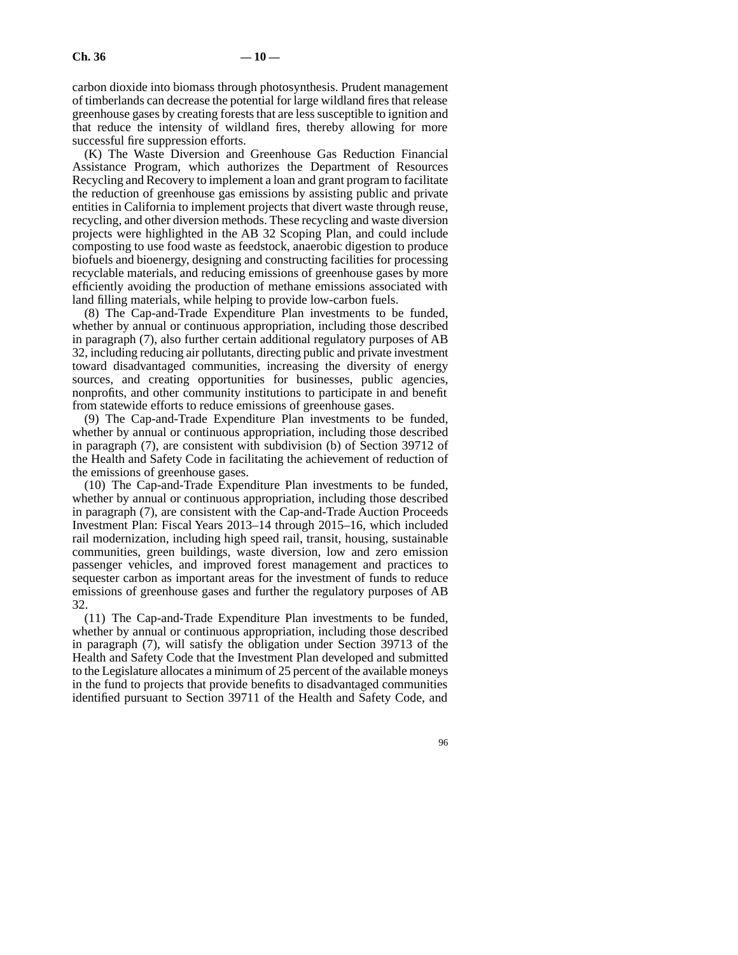carbon dioxide into biomass through photosynthesis. Prudent management of timberlands can decrease the potential for large wildland fires that release greenhouse gases by creating forests that are less susceptible to ignition and that reduce the intensity of wildland fires, thereby allowing for more successful fire suppression efforts.

(K) The Waste Diversion and Greenhouse Gas Reduction Financial Assistance Program, which authorizes the Department of Resources Recycling and Recovery to implement a loan and grant program to facilitate the reduction of greenhouse gas emissions by assisting public and private entities in California to implement projects that divert waste through reuse, recycling, and other diversion methods. These recycling and waste diversion projects were highlighted in the AB 32 Scoping Plan, and could include composting to use food waste as feedstock, anaerobic digestion to produce biofuels and bioenergy, designing and constructing facilities for processing recyclable materials, and reducing emissions of greenhouse gases by more efficiently avoiding the production of methane emissions associated with land filling materials, while helping to provide low-carbon fuels.

(8) The Cap-and-Trade Expenditure Plan investments to be funded, whether by annual or continuous appropriation, including those described in paragraph (7), also further certain additional regulatory purposes of AB 32, including reducing air pollutants, directing public and private investment toward disadvantaged communities, increasing the diversity of energy sources, and creating opportunities for businesses, public agencies, nonprofits, and other community institutions to participate in and benefit from statewide efforts to reduce emissions of greenhouse gases.

(9) The Cap-and-Trade Expenditure Plan investments to be funded, whether by annual or continuous appropriation, including those described in paragraph (7), are consistent with subdivision (b) of Section 39712 of the Health and Safety Code in facilitating the achievement of reduction of the emissions of greenhouse gases.

(10) The Cap-and-Trade Expenditure Plan investments to be funded, whether by annual or continuous appropriation, including those described in paragraph (7), are consistent with the Cap-and-Trade Auction Proceeds Investment Plan: Fiscal Years 2013–14 through 2015–16, which included rail modernization, including high speed rail, transit, housing, sustainable communities, green buildings, waste diversion, low and zero emission passenger vehicles, and improved forest management and practices to sequester carbon as important areas for the investment of funds to reduce emissions of greenhouse gases and further the regulatory purposes of AB 32.

(11) The Cap-and-Trade Expenditure Plan investments to be funded, whether by annual or continuous appropriation, including those described in paragraph (7), will satisfy the obligation under Section 39713 of the Health and Safety Code that the Investment Plan developed and submitted to the Legislature allocates a minimum of 25 percent of the available moneys in the fund to projects that provide benefits to disadvantaged communities identified pursuant to Section 39711 of the Health and Safety Code, and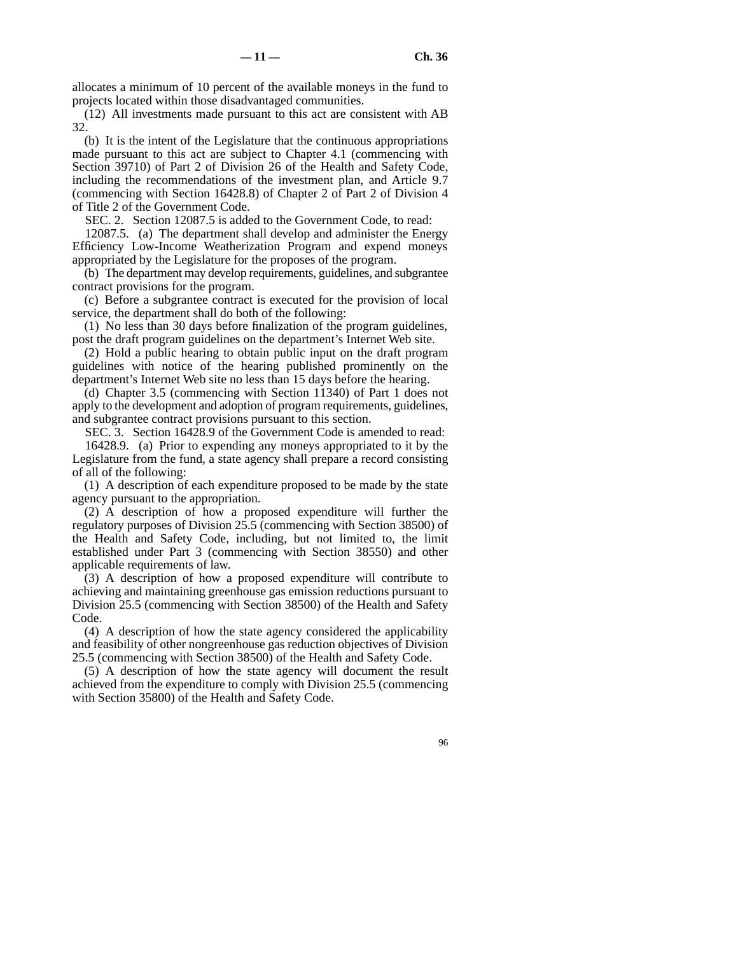allocates a minimum of 10 percent of the available moneys in the fund to projects located within those disadvantaged communities.

(12) All investments made pursuant to this act are consistent with AB 32.

(b) It is the intent of the Legislature that the continuous appropriations made pursuant to this act are subject to Chapter 4.1 (commencing with Section 39710) of Part 2 of Division 26 of the Health and Safety Code, including the recommendations of the investment plan, and Article 9.7 (commencing with Section 16428.8) of Chapter 2 of Part 2 of Division 4 of Title 2 of the Government Code.

SEC. 2. Section 12087.5 is added to the Government Code, to read:

12087.5. (a) The department shall develop and administer the Energy Efficiency Low-Income Weatherization Program and expend moneys appropriated by the Legislature for the proposes of the program.

(b) The department may develop requirements, guidelines, and subgrantee contract provisions for the program.

(c) Before a subgrantee contract is executed for the provision of local service, the department shall do both of the following:

(1) No less than 30 days before finalization of the program guidelines, post the draft program guidelines on the department's Internet Web site.

(2) Hold a public hearing to obtain public input on the draft program guidelines with notice of the hearing published prominently on the department's Internet Web site no less than 15 days before the hearing.

(d) Chapter 3.5 (commencing with Section 11340) of Part 1 does not apply to the development and adoption of program requirements, guidelines, and subgrantee contract provisions pursuant to this section.

SEC. 3. Section 16428.9 of the Government Code is amended to read:

16428.9. (a) Prior to expending any moneys appropriated to it by the Legislature from the fund, a state agency shall prepare a record consisting of all of the following:

(1) A description of each expenditure proposed to be made by the state agency pursuant to the appropriation.

(2) A description of how a proposed expenditure will further the regulatory purposes of Division 25.5 (commencing with Section 38500) of the Health and Safety Code, including, but not limited to, the limit established under Part 3 (commencing with Section 38550) and other applicable requirements of law.

(3) A description of how a proposed expenditure will contribute to achieving and maintaining greenhouse gas emission reductions pursuant to Division 25.5 (commencing with Section 38500) of the Health and Safety Code.

(4) A description of how the state agency considered the applicability and feasibility of other nongreenhouse gas reduction objectives of Division 25.5 (commencing with Section 38500) of the Health and Safety Code.

(5) A description of how the state agency will document the result achieved from the expenditure to comply with Division 25.5 (commencing with Section 35800) of the Health and Safety Code.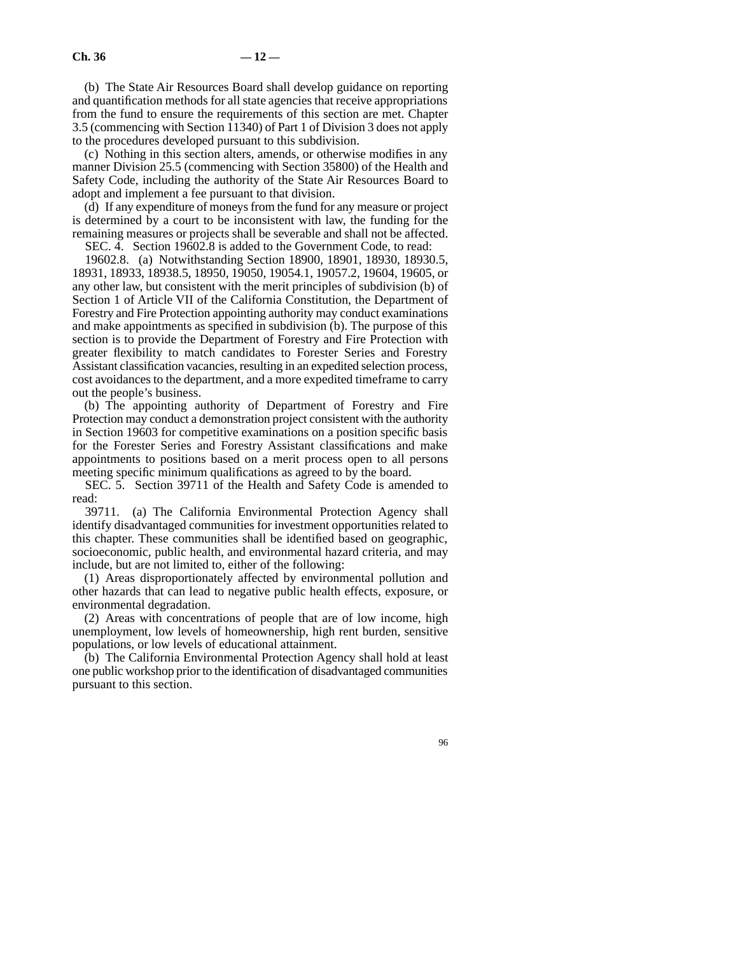(b) The State Air Resources Board shall develop guidance on reporting and quantification methods for all state agencies that receive appropriations from the fund to ensure the requirements of this section are met. Chapter 3.5 (commencing with Section 11340) of Part 1 of Division 3 does not apply to the procedures developed pursuant to this subdivision.

(c) Nothing in this section alters, amends, or otherwise modifies in any manner Division 25.5 (commencing with Section 35800) of the Health and Safety Code, including the authority of the State Air Resources Board to adopt and implement a fee pursuant to that division.

(d) If any expenditure of moneys from the fund for any measure or project is determined by a court to be inconsistent with law, the funding for the remaining measures or projects shall be severable and shall not be affected.

SEC. 4. Section 19602.8 is added to the Government Code, to read:

19602.8. (a) Notwithstanding Section 18900, 18901, 18930, 18930.5, 18931, 18933, 18938.5, 18950, 19050, 19054.1, 19057.2, 19604, 19605, or any other law, but consistent with the merit principles of subdivision (b) of Section 1 of Article VII of the California Constitution, the Department of Forestry and Fire Protection appointing authority may conduct examinations and make appointments as specified in subdivision (b). The purpose of this section is to provide the Department of Forestry and Fire Protection with greater flexibility to match candidates to Forester Series and Forestry Assistant classification vacancies, resulting in an expedited selection process, cost avoidances to the department, and a more expedited timeframe to carry out the people's business.

(b) The appointing authority of Department of Forestry and Fire Protection may conduct a demonstration project consistent with the authority in Section 19603 for competitive examinations on a position specific basis for the Forester Series and Forestry Assistant classifications and make appointments to positions based on a merit process open to all persons meeting specific minimum qualifications as agreed to by the board.

SEC. 5. Section 39711 of the Health and Safety Code is amended to read:

39711. (a) The California Environmental Protection Agency shall identify disadvantaged communities for investment opportunities related to this chapter. These communities shall be identified based on geographic, socioeconomic, public health, and environmental hazard criteria, and may include, but are not limited to, either of the following:

(1) Areas disproportionately affected by environmental pollution and other hazards that can lead to negative public health effects, exposure, or environmental degradation.

(2) Areas with concentrations of people that are of low income, high unemployment, low levels of homeownership, high rent burden, sensitive populations, or low levels of educational attainment.

(b) The California Environmental Protection Agency shall hold at least one public workshop prior to the identification of disadvantaged communities pursuant to this section.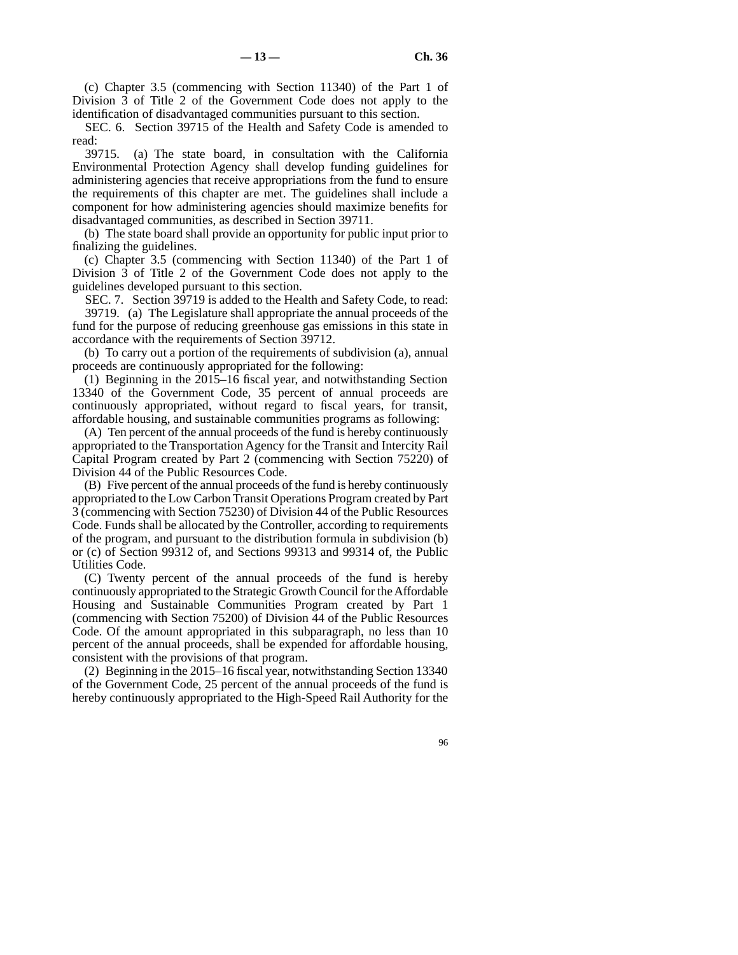(c) Chapter 3.5 (commencing with Section 11340) of the Part 1 of Division 3 of Title 2 of the Government Code does not apply to the identification of disadvantaged communities pursuant to this section.

SEC. 6. Section 39715 of the Health and Safety Code is amended to read:

39715. (a) The state board, in consultation with the California Environmental Protection Agency shall develop funding guidelines for administering agencies that receive appropriations from the fund to ensure the requirements of this chapter are met. The guidelines shall include a component for how administering agencies should maximize benefits for disadvantaged communities, as described in Section 39711.

(b) The state board shall provide an opportunity for public input prior to finalizing the guidelines.

(c) Chapter 3.5 (commencing with Section 11340) of the Part 1 of Division 3 of Title 2 of the Government Code does not apply to the guidelines developed pursuant to this section.

SEC. 7. Section 39719 is added to the Health and Safety Code, to read: 39719. (a) The Legislature shall appropriate the annual proceeds of the fund for the purpose of reducing greenhouse gas emissions in this state in accordance with the requirements of Section 39712.

(b) To carry out a portion of the requirements of subdivision (a), annual proceeds are continuously appropriated for the following:

(1) Beginning in the 2015–16 fiscal year, and notwithstanding Section 13340 of the Government Code, 35 percent of annual proceeds are continuously appropriated, without regard to fiscal years, for transit, affordable housing, and sustainable communities programs as following:

(A) Ten percent of the annual proceeds of the fund is hereby continuously appropriated to the Transportation Agency for the Transit and Intercity Rail Capital Program created by Part 2 (commencing with Section 75220) of Division 44 of the Public Resources Code.

(B) Five percent of the annual proceeds of the fund is hereby continuously appropriated to the Low Carbon Transit Operations Program created by Part 3 (commencing with Section 75230) of Division 44 of the Public Resources Code. Funds shall be allocated by the Controller, according to requirements of the program, and pursuant to the distribution formula in subdivision (b) or (c) of Section 99312 of, and Sections 99313 and 99314 of, the Public Utilities Code.

(C) Twenty percent of the annual proceeds of the fund is hereby continuously appropriated to the Strategic Growth Council for the Affordable Housing and Sustainable Communities Program created by Part 1 (commencing with Section 75200) of Division 44 of the Public Resources Code. Of the amount appropriated in this subparagraph, no less than 10 percent of the annual proceeds, shall be expended for affordable housing, consistent with the provisions of that program.

(2) Beginning in the 2015–16 fiscal year, notwithstanding Section 13340 of the Government Code, 25 percent of the annual proceeds of the fund is hereby continuously appropriated to the High-Speed Rail Authority for the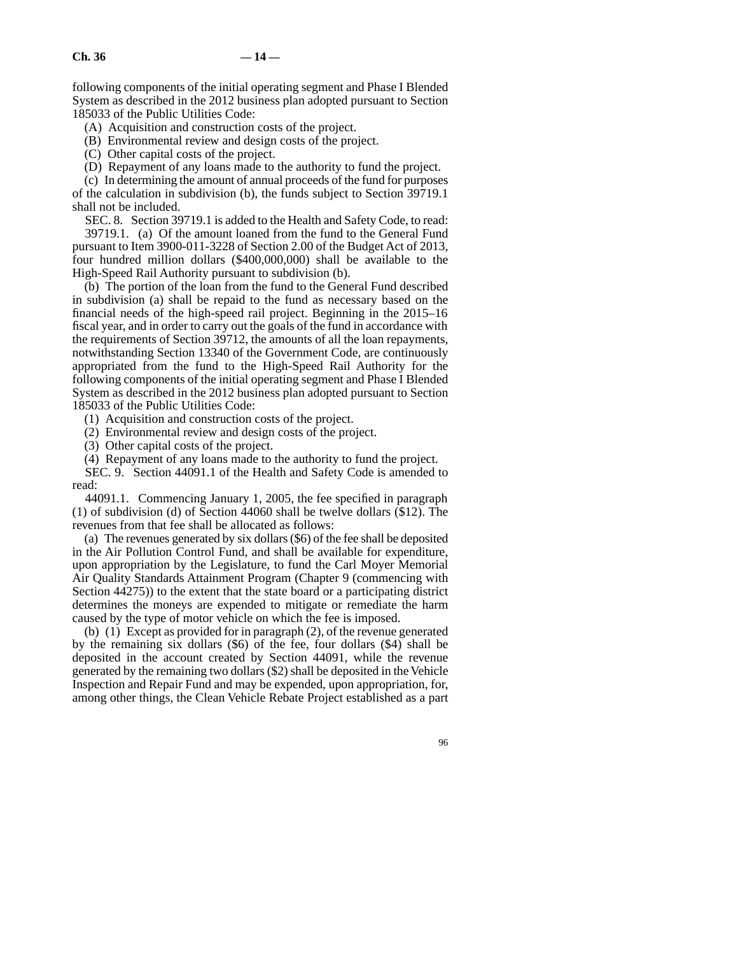following components of the initial operating segment and Phase I Blended System as described in the 2012 business plan adopted pursuant to Section 185033 of the Public Utilities Code:

(A) Acquisition and construction costs of the project.

(B) Environmental review and design costs of the project.

(C) Other capital costs of the project.

(D) Repayment of any loans made to the authority to fund the project.

(c) In determining the amount of annual proceeds of the fund for purposes of the calculation in subdivision (b), the funds subject to Section 39719.1 shall not be included.

SEC. 8. Section 39719.1 is added to the Health and Safety Code, to read: 39719.1. (a) Of the amount loaned from the fund to the General Fund pursuant to Item 3900-011-3228 of Section 2.00 of the Budget Act of 2013, four hundred million dollars (\$400,000,000) shall be available to the High-Speed Rail Authority pursuant to subdivision (b).

(b) The portion of the loan from the fund to the General Fund described in subdivision (a) shall be repaid to the fund as necessary based on the financial needs of the high-speed rail project. Beginning in the 2015–16 fiscal year, and in order to carry out the goals of the fund in accordance with the requirements of Section 39712, the amounts of all the loan repayments, notwithstanding Section 13340 of the Government Code, are continuously appropriated from the fund to the High-Speed Rail Authority for the following components of the initial operating segment and Phase I Blended System as described in the 2012 business plan adopted pursuant to Section 185033 of the Public Utilities Code:

(1) Acquisition and construction costs of the project.

(2) Environmental review and design costs of the project.

(3) Other capital costs of the project.

(4) Repayment of any loans made to the authority to fund the project.

SEC. 9. Section 44091.1 of the Health and Safety Code is amended to read:

44091.1. Commencing January 1, 2005, the fee specified in paragraph (1) of subdivision (d) of Section 44060 shall be twelve dollars (\$12). The revenues from that fee shall be allocated as follows:

(a) The revenues generated by six dollars (\$6) of the fee shall be deposited in the Air Pollution Control Fund, and shall be available for expenditure, upon appropriation by the Legislature, to fund the Carl Moyer Memorial Air Quality Standards Attainment Program (Chapter 9 (commencing with Section 44275)) to the extent that the state board or a participating district determines the moneys are expended to mitigate or remediate the harm caused by the type of motor vehicle on which the fee is imposed.

(b) (1) Except as provided for in paragraph (2), of the revenue generated by the remaining six dollars (\$6) of the fee, four dollars (\$4) shall be deposited in the account created by Section 44091, while the revenue generated by the remaining two dollars (\$2) shall be deposited in the Vehicle Inspection and Repair Fund and may be expended, upon appropriation, for, among other things, the Clean Vehicle Rebate Project established as a part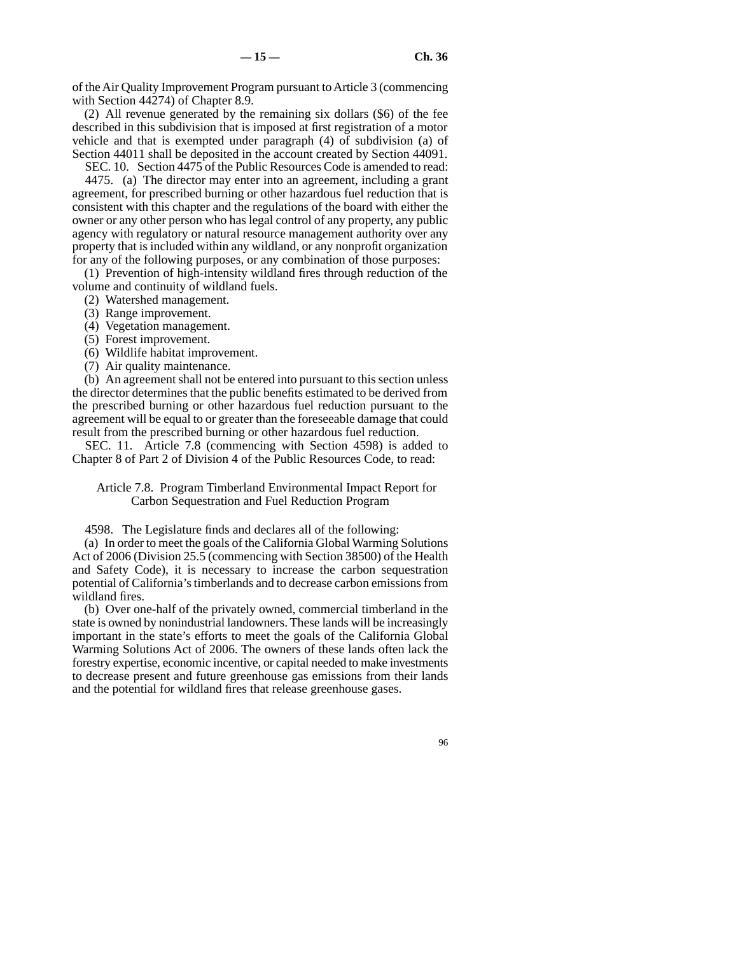of the Air Quality Improvement Program pursuant to Article 3 (commencing with Section 44274) of Chapter 8.9.

(2) All revenue generated by the remaining six dollars (\$6) of the fee described in this subdivision that is imposed at first registration of a motor vehicle and that is exempted under paragraph (4) of subdivision (a) of Section 44011 shall be deposited in the account created by Section 44091.

SEC. 10. Section 4475 of the Public Resources Code is amended to read:

4475. (a) The director may enter into an agreement, including a grant agreement, for prescribed burning or other hazardous fuel reduction that is consistent with this chapter and the regulations of the board with either the owner or any other person who has legal control of any property, any public agency with regulatory or natural resource management authority over any property that is included within any wildland, or any nonprofit organization for any of the following purposes, or any combination of those purposes:

(1) Prevention of high-intensity wildland fires through reduction of the volume and continuity of wildland fuels.

- (2) Watershed management.
- (3) Range improvement.
- (4) Vegetation management.
- (5) Forest improvement.
- (6) Wildlife habitat improvement.
- (7) Air quality maintenance.

(b) An agreement shall not be entered into pursuant to this section unless the director determines that the public benefits estimated to be derived from the prescribed burning or other hazardous fuel reduction pursuant to the agreement will be equal to or greater than the foreseeable damage that could result from the prescribed burning or other hazardous fuel reduction.

SEC. 11. Article 7.8 (commencing with Section 4598) is added to Chapter 8 of Part 2 of Division 4 of the Public Resources Code, to read:

Article 7.8. Program Timberland Environmental Impact Report for Carbon Sequestration and Fuel Reduction Program

4598. The Legislature finds and declares all of the following:

(a) In order to meet the goals of the California Global Warming Solutions Act of 2006 (Division 25.5 (commencing with Section 38500) of the Health and Safety Code), it is necessary to increase the carbon sequestration potential of California's timberlands and to decrease carbon emissions from wildland fires.

(b) Over one-half of the privately owned, commercial timberland in the state is owned by nonindustrial landowners. These lands will be increasingly important in the state's efforts to meet the goals of the California Global Warming Solutions Act of 2006. The owners of these lands often lack the forestry expertise, economic incentive, or capital needed to make investments to decrease present and future greenhouse gas emissions from their lands and the potential for wildland fires that release greenhouse gases.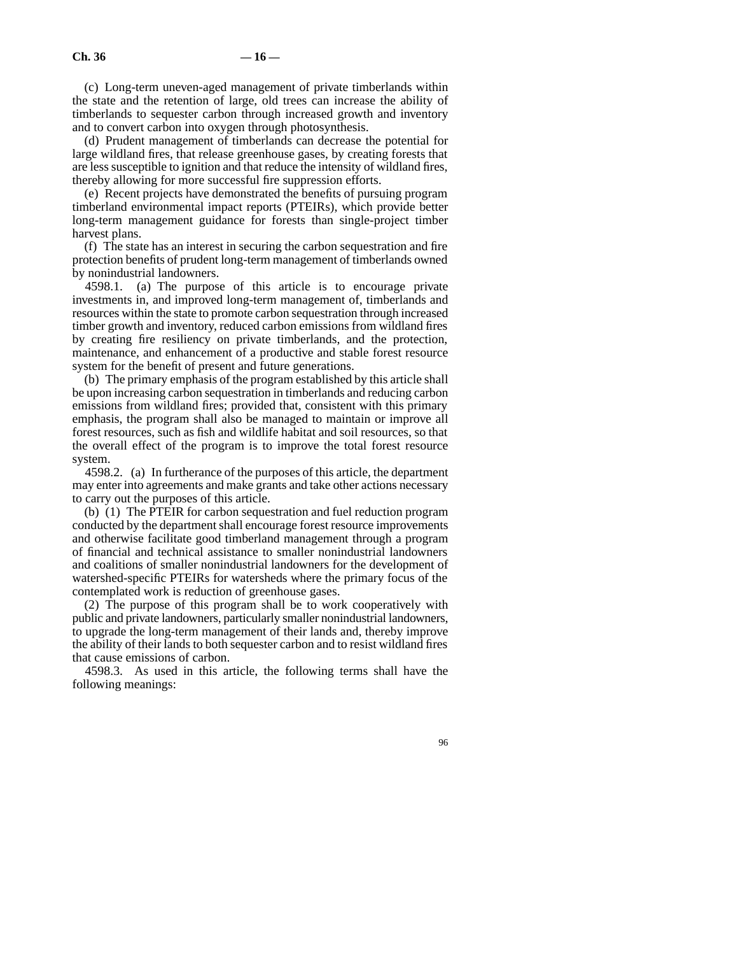(c) Long-term uneven-aged management of private timberlands within the state and the retention of large, old trees can increase the ability of timberlands to sequester carbon through increased growth and inventory and to convert carbon into oxygen through photosynthesis.

(d) Prudent management of timberlands can decrease the potential for large wildland fires, that release greenhouse gases, by creating forests that are less susceptible to ignition and that reduce the intensity of wildland fires, thereby allowing for more successful fire suppression efforts.

(e) Recent projects have demonstrated the benefits of pursuing program timberland environmental impact reports (PTEIRs), which provide better long-term management guidance for forests than single-project timber harvest plans.

(f) The state has an interest in securing the carbon sequestration and fire protection benefits of prudent long-term management of timberlands owned by nonindustrial landowners.

4598.1. (a) The purpose of this article is to encourage private investments in, and improved long-term management of, timberlands and resources within the state to promote carbon sequestration through increased timber growth and inventory, reduced carbon emissions from wildland fires by creating fire resiliency on private timberlands, and the protection, maintenance, and enhancement of a productive and stable forest resource system for the benefit of present and future generations.

(b) The primary emphasis of the program established by this article shall be upon increasing carbon sequestration in timberlands and reducing carbon emissions from wildland fires; provided that, consistent with this primary emphasis, the program shall also be managed to maintain or improve all forest resources, such as fish and wildlife habitat and soil resources, so that the overall effect of the program is to improve the total forest resource system.

4598.2. (a) In furtherance of the purposes of this article, the department may enter into agreements and make grants and take other actions necessary to carry out the purposes of this article.

(b) (1) The PTEIR for carbon sequestration and fuel reduction program conducted by the department shall encourage forest resource improvements and otherwise facilitate good timberland management through a program of financial and technical assistance to smaller nonindustrial landowners and coalitions of smaller nonindustrial landowners for the development of watershed-specific PTEIRs for watersheds where the primary focus of the contemplated work is reduction of greenhouse gases.

(2) The purpose of this program shall be to work cooperatively with public and private landowners, particularly smaller nonindustrial landowners, to upgrade the long-term management of their lands and, thereby improve the ability of their lands to both sequester carbon and to resist wildland fires that cause emissions of carbon.

4598.3. As used in this article, the following terms shall have the following meanings: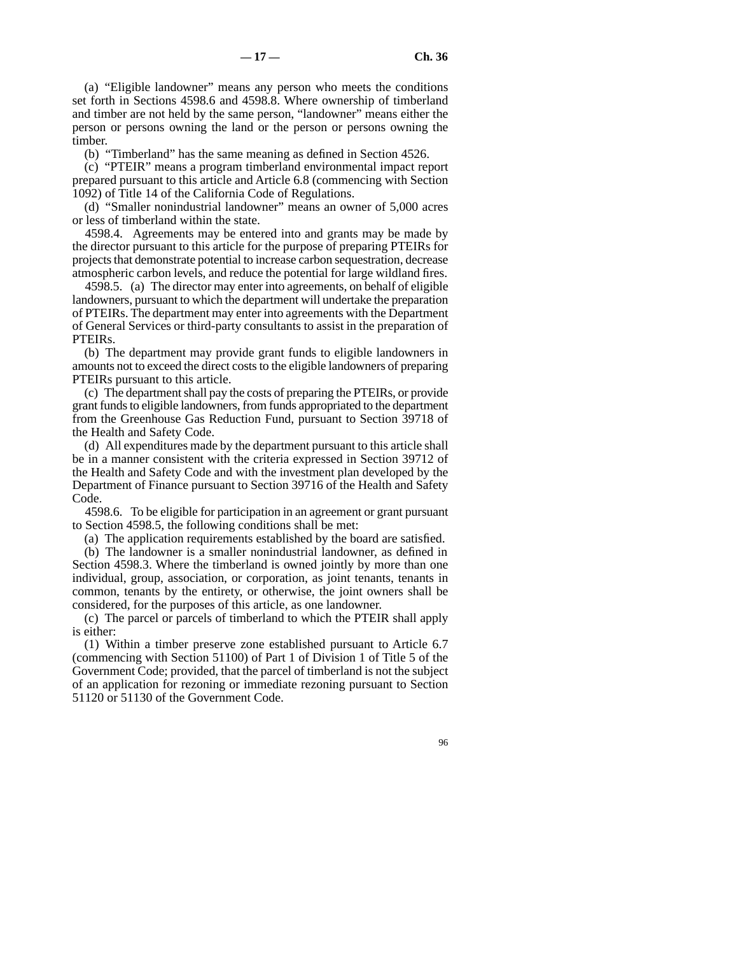(a) "Eligible landowner" means any person who meets the conditions set forth in Sections 4598.6 and 4598.8. Where ownership of timberland and timber are not held by the same person, "landowner" means either the person or persons owning the land or the person or persons owning the timber.

(b) "Timberland" has the same meaning as defined in Section 4526.

(c) "PTEIR" means a program timberland environmental impact report prepared pursuant to this article and Article 6.8 (commencing with Section 1092) of Title 14 of the California Code of Regulations.

(d) "Smaller nonindustrial landowner" means an owner of 5,000 acres or less of timberland within the state.

4598.4. Agreements may be entered into and grants may be made by the director pursuant to this article for the purpose of preparing PTEIRs for projects that demonstrate potential to increase carbon sequestration, decrease atmospheric carbon levels, and reduce the potential for large wildland fires.

4598.5. (a) The director may enter into agreements, on behalf of eligible landowners, pursuant to which the department will undertake the preparation of PTEIRs. The department may enter into agreements with the Department of General Services or third-party consultants to assist in the preparation of PTEIRs.

(b) The department may provide grant funds to eligible landowners in amounts not to exceed the direct costs to the eligible landowners of preparing PTEIRs pursuant to this article.

(c) The department shall pay the costs of preparing the PTEIRs, or provide grant funds to eligible landowners, from funds appropriated to the department from the Greenhouse Gas Reduction Fund, pursuant to Section 39718 of the Health and Safety Code.

(d) All expenditures made by the department pursuant to this article shall be in a manner consistent with the criteria expressed in Section 39712 of the Health and Safety Code and with the investment plan developed by the Department of Finance pursuant to Section 39716 of the Health and Safety Code.

4598.6. To be eligible for participation in an agreement or grant pursuant to Section 4598.5, the following conditions shall be met:

(a) The application requirements established by the board are satisfied.

(b) The landowner is a smaller nonindustrial landowner, as defined in Section 4598.3. Where the timberland is owned jointly by more than one individual, group, association, or corporation, as joint tenants, tenants in common, tenants by the entirety, or otherwise, the joint owners shall be considered, for the purposes of this article, as one landowner.

(c) The parcel or parcels of timberland to which the PTEIR shall apply is either:

(1) Within a timber preserve zone established pursuant to Article 6.7 (commencing with Section 51100) of Part 1 of Division 1 of Title 5 of the Government Code; provided, that the parcel of timberland is not the subject of an application for rezoning or immediate rezoning pursuant to Section 51120 or 51130 of the Government Code.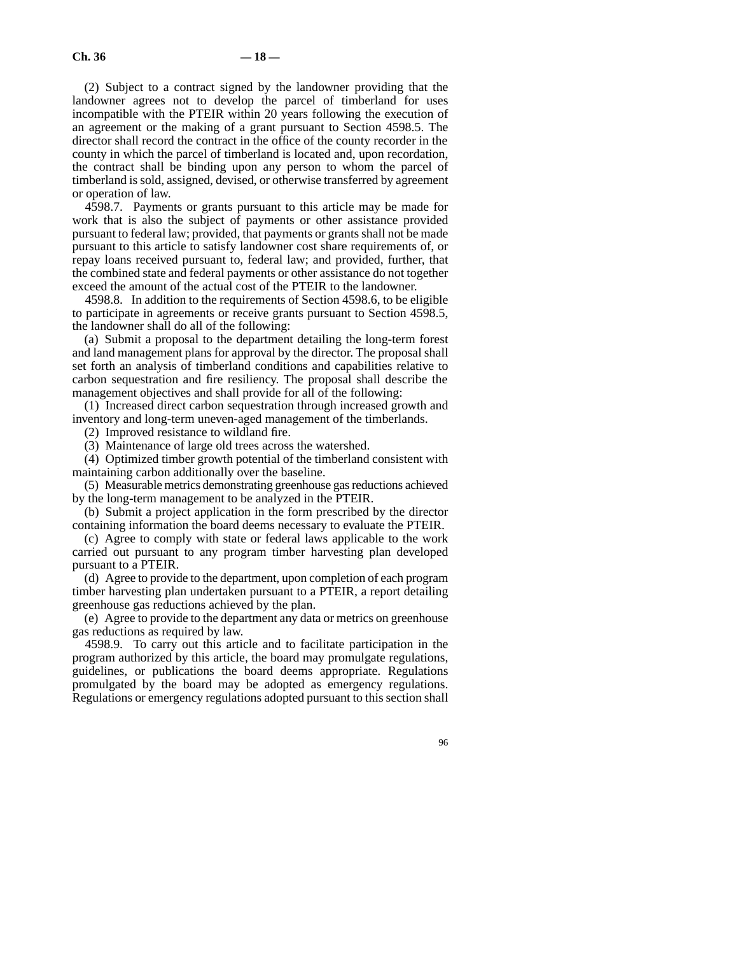(2) Subject to a contract signed by the landowner providing that the landowner agrees not to develop the parcel of timberland for uses incompatible with the PTEIR within 20 years following the execution of an agreement or the making of a grant pursuant to Section 4598.5. The director shall record the contract in the office of the county recorder in the county in which the parcel of timberland is located and, upon recordation, the contract shall be binding upon any person to whom the parcel of timberland is sold, assigned, devised, or otherwise transferred by agreement or operation of law.

4598.7. Payments or grants pursuant to this article may be made for work that is also the subject of payments or other assistance provided pursuant to federal law; provided, that payments or grants shall not be made pursuant to this article to satisfy landowner cost share requirements of, or repay loans received pursuant to, federal law; and provided, further, that the combined state and federal payments or other assistance do not together exceed the amount of the actual cost of the PTEIR to the landowner.

4598.8. In addition to the requirements of Section 4598.6, to be eligible to participate in agreements or receive grants pursuant to Section 4598.5, the landowner shall do all of the following:

(a) Submit a proposal to the department detailing the long-term forest and land management plans for approval by the director. The proposal shall set forth an analysis of timberland conditions and capabilities relative to carbon sequestration and fire resiliency. The proposal shall describe the management objectives and shall provide for all of the following:

(1) Increased direct carbon sequestration through increased growth and inventory and long-term uneven-aged management of the timberlands.

(2) Improved resistance to wildland fire.

(3) Maintenance of large old trees across the watershed.

(4) Optimized timber growth potential of the timberland consistent with maintaining carbon additionally over the baseline.

(5) Measurable metrics demonstrating greenhouse gas reductions achieved by the long-term management to be analyzed in the PTEIR.

(b) Submit a project application in the form prescribed by the director containing information the board deems necessary to evaluate the PTEIR.

(c) Agree to comply with state or federal laws applicable to the work carried out pursuant to any program timber harvesting plan developed pursuant to a PTEIR.

(d) Agree to provide to the department, upon completion of each program timber harvesting plan undertaken pursuant to a PTEIR, a report detailing greenhouse gas reductions achieved by the plan.

(e) Agree to provide to the department any data or metrics on greenhouse gas reductions as required by law.

4598.9. To carry out this article and to facilitate participation in the program authorized by this article, the board may promulgate regulations, guidelines, or publications the board deems appropriate. Regulations promulgated by the board may be adopted as emergency regulations. Regulations or emergency regulations adopted pursuant to this section shall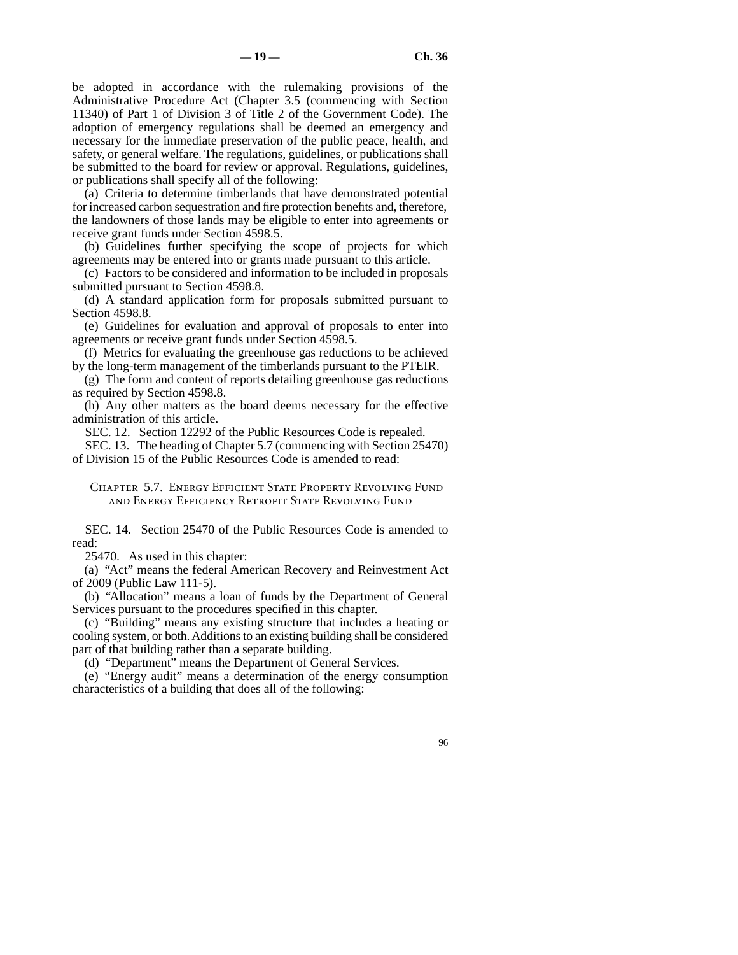be adopted in accordance with the rulemaking provisions of the Administrative Procedure Act (Chapter 3.5 (commencing with Section 11340) of Part 1 of Division 3 of Title 2 of the Government Code). The adoption of emergency regulations shall be deemed an emergency and necessary for the immediate preservation of the public peace, health, and safety, or general welfare. The regulations, guidelines, or publications shall be submitted to the board for review or approval. Regulations, guidelines, or publications shall specify all of the following:

(a) Criteria to determine timberlands that have demonstrated potential for increased carbon sequestration and fire protection benefits and, therefore, the landowners of those lands may be eligible to enter into agreements or receive grant funds under Section 4598.5.

(b) Guidelines further specifying the scope of projects for which agreements may be entered into or grants made pursuant to this article.

(c) Factors to be considered and information to be included in proposals submitted pursuant to Section 4598.8.

(d) A standard application form for proposals submitted pursuant to Section 4598.8.

(e) Guidelines for evaluation and approval of proposals to enter into agreements or receive grant funds under Section 4598.5.

(f) Metrics for evaluating the greenhouse gas reductions to be achieved by the long-term management of the timberlands pursuant to the PTEIR.

(g) The form and content of reports detailing greenhouse gas reductions as required by Section 4598.8.

(h) Any other matters as the board deems necessary for the effective administration of this article.

SEC. 12. Section 12292 of the Public Resources Code is repealed.

SEC. 13. The heading of Chapter 5.7 (commencing with Section 25470) of Division 15 of the Public Resources Code is amended to read:

Chapter 5.7. Energy Efficient State Property Revolving Fund and Energy Efficiency Retrofit State Revolving Fund

SEC. 14. Section 25470 of the Public Resources Code is amended to read:

25470. As used in this chapter:

(a) "Act" means the federal American Recovery and Reinvestment Act of 2009 (Public Law 111-5).

(b) "Allocation" means a loan of funds by the Department of General Services pursuant to the procedures specified in this chapter.

(c) "Building" means any existing structure that includes a heating or cooling system, or both. Additions to an existing building shall be considered part of that building rather than a separate building.

(d) "Department" means the Department of General Services.

(e) "Energy audit" means a determination of the energy consumption characteristics of a building that does all of the following: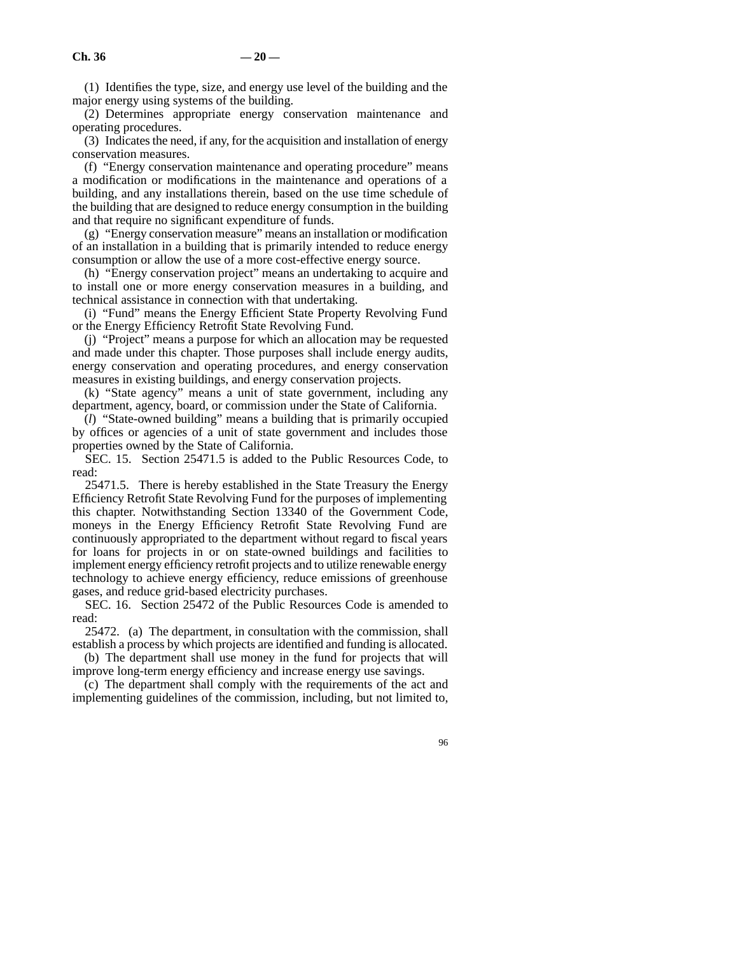(1) Identifies the type, size, and energy use level of the building and the major energy using systems of the building.

(2) Determines appropriate energy conservation maintenance and operating procedures.

(3) Indicates the need, if any, for the acquisition and installation of energy conservation measures.

(f) "Energy conservation maintenance and operating procedure" means a modification or modifications in the maintenance and operations of a building, and any installations therein, based on the use time schedule of the building that are designed to reduce energy consumption in the building and that require no significant expenditure of funds.

(g) "Energy conservation measure" means an installation or modification of an installation in a building that is primarily intended to reduce energy consumption or allow the use of a more cost-effective energy source.

(h) "Energy conservation project" means an undertaking to acquire and to install one or more energy conservation measures in a building, and technical assistance in connection with that undertaking.

(i) "Fund" means the Energy Efficient State Property Revolving Fund or the Energy Efficiency Retrofit State Revolving Fund.

(j) "Project" means a purpose for which an allocation may be requested and made under this chapter. Those purposes shall include energy audits, energy conservation and operating procedures, and energy conservation measures in existing buildings, and energy conservation projects.

(k) "State agency" means a unit of state government, including any department, agency, board, or commission under the State of California.

(*l*) "State-owned building" means a building that is primarily occupied by offices or agencies of a unit of state government and includes those properties owned by the State of California.

SEC. 15. Section 25471.5 is added to the Public Resources Code, to read:

25471.5. There is hereby established in the State Treasury the Energy Efficiency Retrofit State Revolving Fund for the purposes of implementing this chapter. Notwithstanding Section 13340 of the Government Code, moneys in the Energy Efficiency Retrofit State Revolving Fund are continuously appropriated to the department without regard to fiscal years for loans for projects in or on state-owned buildings and facilities to implement energy efficiency retrofit projects and to utilize renewable energy technology to achieve energy efficiency, reduce emissions of greenhouse gases, and reduce grid-based electricity purchases.

SEC. 16. Section 25472 of the Public Resources Code is amended to read:

25472. (a) The department, in consultation with the commission, shall establish a process by which projects are identified and funding is allocated.

(b) The department shall use money in the fund for projects that will improve long-term energy efficiency and increase energy use savings.

(c) The department shall comply with the requirements of the act and implementing guidelines of the commission, including, but not limited to,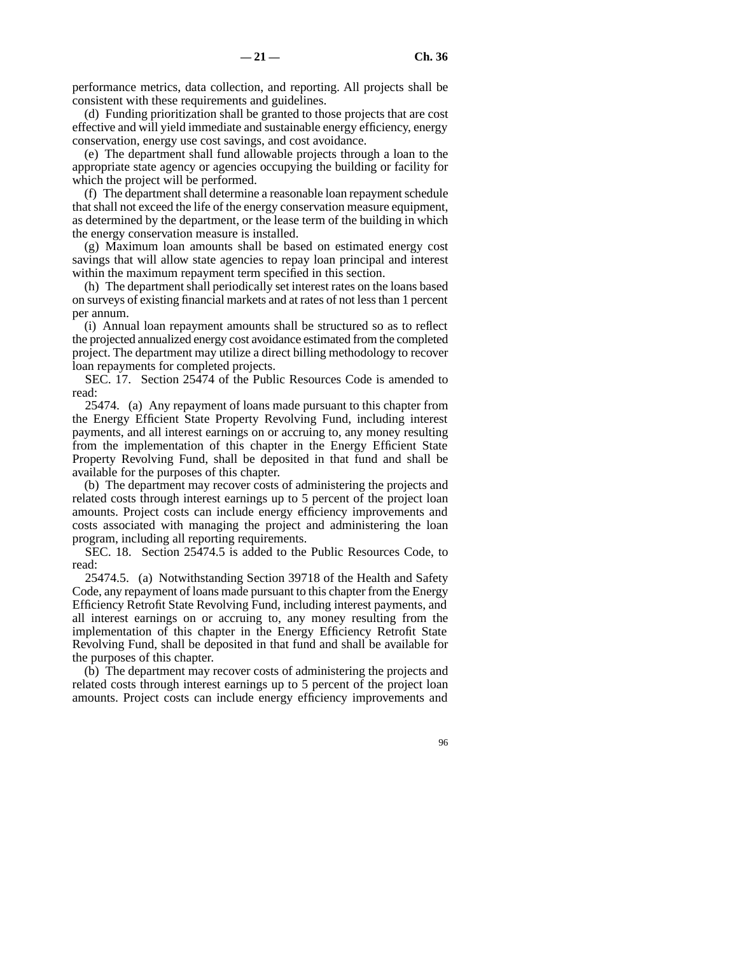performance metrics, data collection, and reporting. All projects shall be consistent with these requirements and guidelines.

(d) Funding prioritization shall be granted to those projects that are cost effective and will yield immediate and sustainable energy efficiency, energy conservation, energy use cost savings, and cost avoidance.

(e) The department shall fund allowable projects through a loan to the appropriate state agency or agencies occupying the building or facility for which the project will be performed.

(f) The department shall determine a reasonable loan repayment schedule that shall not exceed the life of the energy conservation measure equipment, as determined by the department, or the lease term of the building in which the energy conservation measure is installed.

(g) Maximum loan amounts shall be based on estimated energy cost savings that will allow state agencies to repay loan principal and interest within the maximum repayment term specified in this section.

(h) The department shall periodically set interest rates on the loans based on surveys of existing financial markets and at rates of not less than 1 percent per annum.

(i) Annual loan repayment amounts shall be structured so as to reflect the projected annualized energy cost avoidance estimated from the completed project. The department may utilize a direct billing methodology to recover loan repayments for completed projects.

SEC. 17. Section 25474 of the Public Resources Code is amended to read:

25474. (a) Any repayment of loans made pursuant to this chapter from the Energy Efficient State Property Revolving Fund, including interest payments, and all interest earnings on or accruing to, any money resulting from the implementation of this chapter in the Energy Efficient State Property Revolving Fund, shall be deposited in that fund and shall be available for the purposes of this chapter.

(b) The department may recover costs of administering the projects and related costs through interest earnings up to 5 percent of the project loan amounts. Project costs can include energy efficiency improvements and costs associated with managing the project and administering the loan program, including all reporting requirements.

SEC. 18. Section 25474.5 is added to the Public Resources Code, to read:

25474.5. (a) Notwithstanding Section 39718 of the Health and Safety Code, any repayment of loans made pursuant to this chapter from the Energy Efficiency Retrofit State Revolving Fund, including interest payments, and all interest earnings on or accruing to, any money resulting from the implementation of this chapter in the Energy Efficiency Retrofit State Revolving Fund, shall be deposited in that fund and shall be available for the purposes of this chapter.

(b) The department may recover costs of administering the projects and related costs through interest earnings up to 5 percent of the project loan amounts. Project costs can include energy efficiency improvements and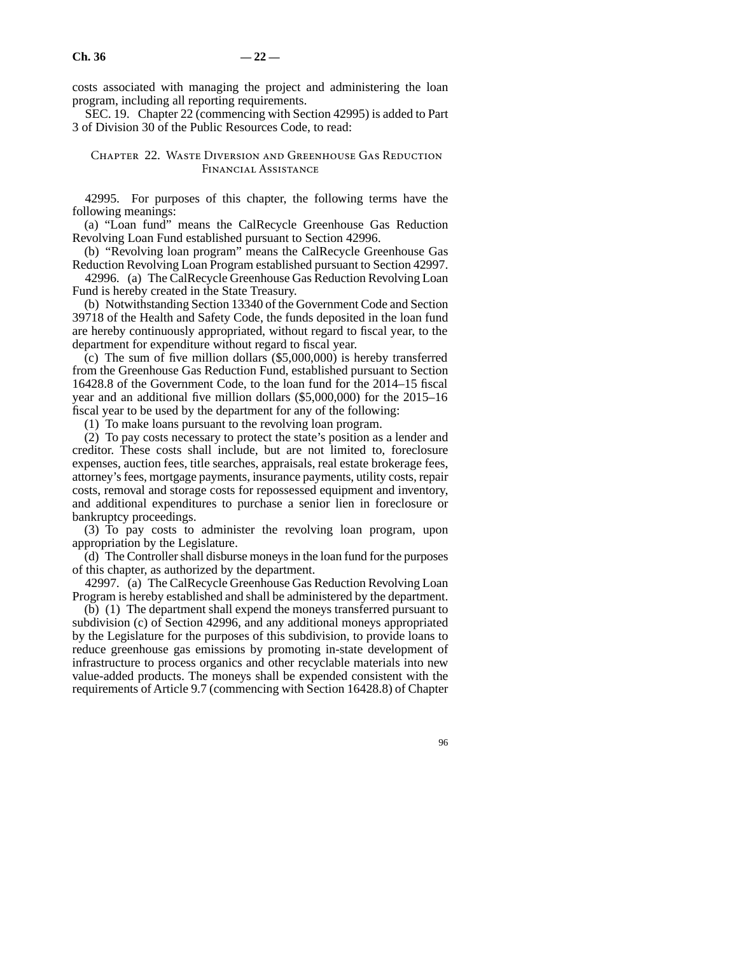costs associated with managing the project and administering the loan program, including all reporting requirements.

SEC. 19. Chapter 22 (commencing with Section 42995) is added to Part 3 of Division 30 of the Public Resources Code, to read:

#### Chapter 22. Waste Diversion and Greenhouse Gas Reduction Financial Assistance

42995. For purposes of this chapter, the following terms have the following meanings:

(a) "Loan fund" means the CalRecycle Greenhouse Gas Reduction Revolving Loan Fund established pursuant to Section 42996.

(b) "Revolving loan program" means the CalRecycle Greenhouse Gas Reduction Revolving Loan Program established pursuant to Section 42997.

42996. (a) The CalRecycle Greenhouse Gas Reduction Revolving Loan Fund is hereby created in the State Treasury.

(b) Notwithstanding Section 13340 of the Government Code and Section 39718 of the Health and Safety Code, the funds deposited in the loan fund are hereby continuously appropriated, without regard to fiscal year, to the department for expenditure without regard to fiscal year.

(c) The sum of five million dollars (\$5,000,000) is hereby transferred from the Greenhouse Gas Reduction Fund, established pursuant to Section 16428.8 of the Government Code, to the loan fund for the 2014–15 fiscal year and an additional five million dollars (\$5,000,000) for the 2015–16 fiscal year to be used by the department for any of the following:

(1) To make loans pursuant to the revolving loan program.

(2) To pay costs necessary to protect the state's position as a lender and creditor. These costs shall include, but are not limited to, foreclosure expenses, auction fees, title searches, appraisals, real estate brokerage fees, attorney's fees, mortgage payments, insurance payments, utility costs, repair costs, removal and storage costs for repossessed equipment and inventory, and additional expenditures to purchase a senior lien in foreclosure or bankruptcy proceedings.

(3) To pay costs to administer the revolving loan program, upon appropriation by the Legislature.

(d) The Controller shall disburse moneys in the loan fund for the purposes of this chapter, as authorized by the department.

42997. (a) The CalRecycle Greenhouse Gas Reduction Revolving Loan Program is hereby established and shall be administered by the department.

(b) (1) The department shall expend the moneys transferred pursuant to subdivision (c) of Section 42996, and any additional moneys appropriated by the Legislature for the purposes of this subdivision, to provide loans to reduce greenhouse gas emissions by promoting in-state development of infrastructure to process organics and other recyclable materials into new value-added products. The moneys shall be expended consistent with the requirements of Article 9.7 (commencing with Section 16428.8) of Chapter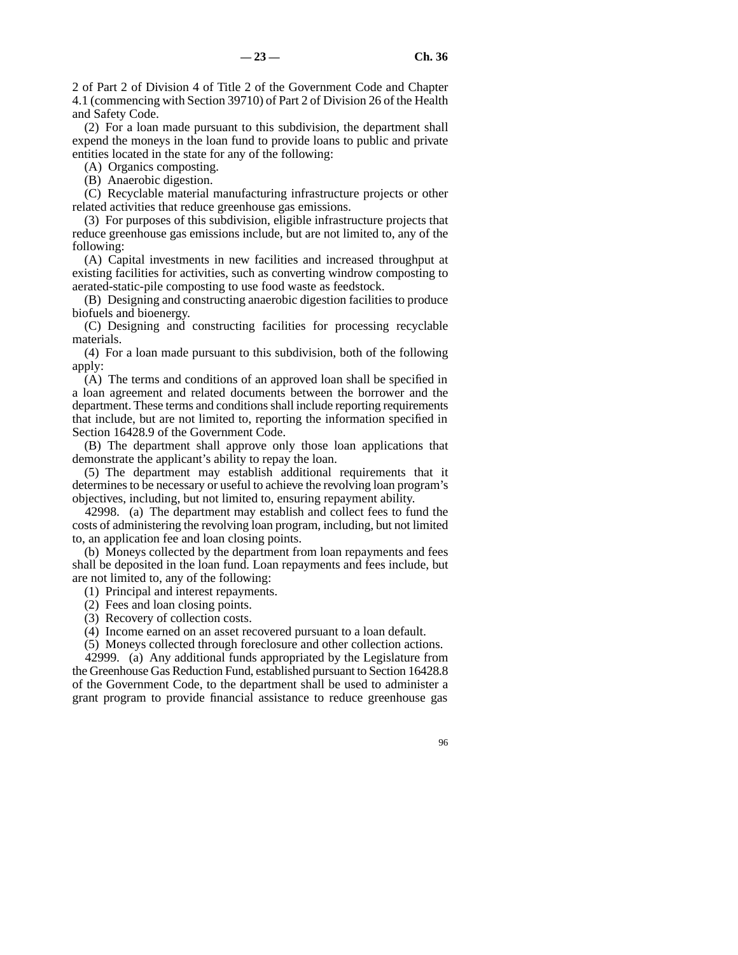2 of Part 2 of Division 4 of Title 2 of the Government Code and Chapter 4.1 (commencing with Section 39710) of Part 2 of Division 26 of the Health and Safety Code.

(2) For a loan made pursuant to this subdivision, the department shall expend the moneys in the loan fund to provide loans to public and private entities located in the state for any of the following:

(A) Organics composting.

(B) Anaerobic digestion.

(C) Recyclable material manufacturing infrastructure projects or other related activities that reduce greenhouse gas emissions.

(3) For purposes of this subdivision, eligible infrastructure projects that reduce greenhouse gas emissions include, but are not limited to, any of the following:

(A) Capital investments in new facilities and increased throughput at existing facilities for activities, such as converting windrow composting to aerated-static-pile composting to use food waste as feedstock.

(B) Designing and constructing anaerobic digestion facilities to produce biofuels and bioenergy.

(C) Designing and constructing facilities for processing recyclable materials.

(4) For a loan made pursuant to this subdivision, both of the following apply:

(A) The terms and conditions of an approved loan shall be specified in a loan agreement and related documents between the borrower and the department. These terms and conditions shall include reporting requirements that include, but are not limited to, reporting the information specified in Section 16428.9 of the Government Code.

(B) The department shall approve only those loan applications that demonstrate the applicant's ability to repay the loan.

(5) The department may establish additional requirements that it determines to be necessary or useful to achieve the revolving loan program's objectives, including, but not limited to, ensuring repayment ability.

42998. (a) The department may establish and collect fees to fund the costs of administering the revolving loan program, including, but not limited to, an application fee and loan closing points.

(b) Moneys collected by the department from loan repayments and fees shall be deposited in the loan fund. Loan repayments and fees include, but are not limited to, any of the following:

(1) Principal and interest repayments.

- (2) Fees and loan closing points.
- (3) Recovery of collection costs.

(4) Income earned on an asset recovered pursuant to a loan default.

(5) Moneys collected through foreclosure and other collection actions.

42999. (a) Any additional funds appropriated by the Legislature from the Greenhouse Gas Reduction Fund, established pursuant to Section 16428.8 of the Government Code, to the department shall be used to administer a grant program to provide financial assistance to reduce greenhouse gas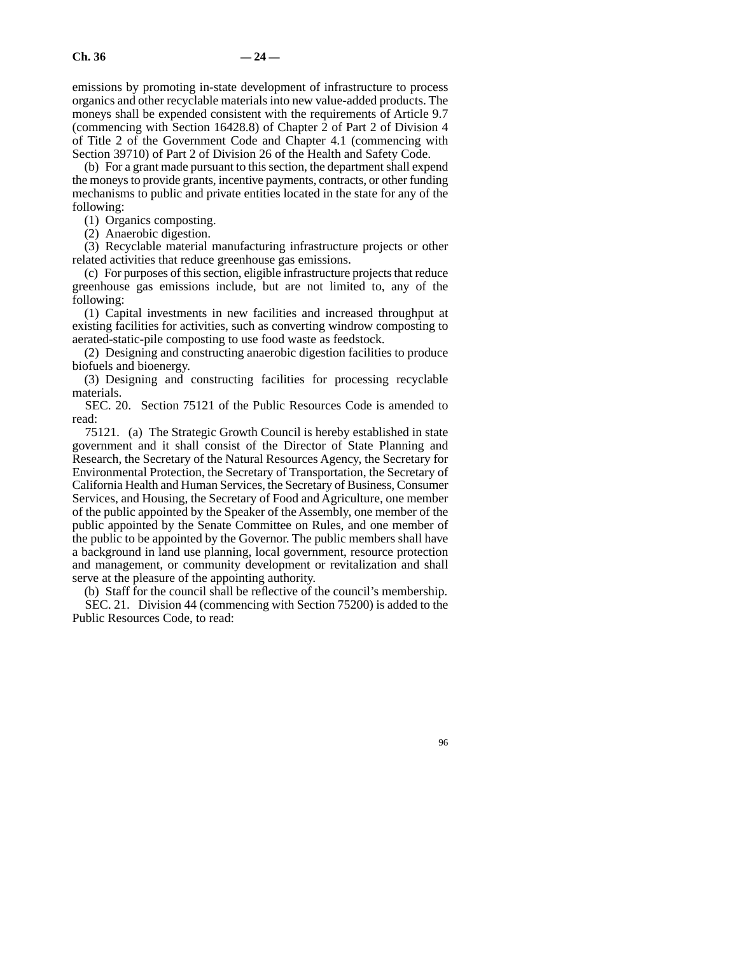emissions by promoting in-state development of infrastructure to process organics and other recyclable materials into new value-added products. The moneys shall be expended consistent with the requirements of Article 9.7 (commencing with Section 16428.8) of Chapter 2 of Part 2 of Division 4 of Title 2 of the Government Code and Chapter 4.1 (commencing with Section 39710) of Part 2 of Division 26 of the Health and Safety Code.

(b) For a grant made pursuant to this section, the department shall expend the moneys to provide grants, incentive payments, contracts, or other funding mechanisms to public and private entities located in the state for any of the following:

(1) Organics composting.

(2) Anaerobic digestion.

(3) Recyclable material manufacturing infrastructure projects or other related activities that reduce greenhouse gas emissions.

(c) For purposes of this section, eligible infrastructure projects that reduce greenhouse gas emissions include, but are not limited to, any of the following:

(1) Capital investments in new facilities and increased throughput at existing facilities for activities, such as converting windrow composting to aerated-static-pile composting to use food waste as feedstock.

(2) Designing and constructing anaerobic digestion facilities to produce biofuels and bioenergy.

(3) Designing and constructing facilities for processing recyclable materials.

SEC. 20. Section 75121 of the Public Resources Code is amended to read:

75121. (a) The Strategic Growth Council is hereby established in state government and it shall consist of the Director of State Planning and Research, the Secretary of the Natural Resources Agency, the Secretary for Environmental Protection, the Secretary of Transportation, the Secretary of California Health and Human Services, the Secretary of Business, Consumer Services, and Housing, the Secretary of Food and Agriculture, one member of the public appointed by the Speaker of the Assembly, one member of the public appointed by the Senate Committee on Rules, and one member of the public to be appointed by the Governor. The public members shall have a background in land use planning, local government, resource protection and management, or community development or revitalization and shall serve at the pleasure of the appointing authority.

(b) Staff for the council shall be reflective of the council's membership. SEC. 21. Division 44 (commencing with Section 75200) is added to the Public Resources Code, to read: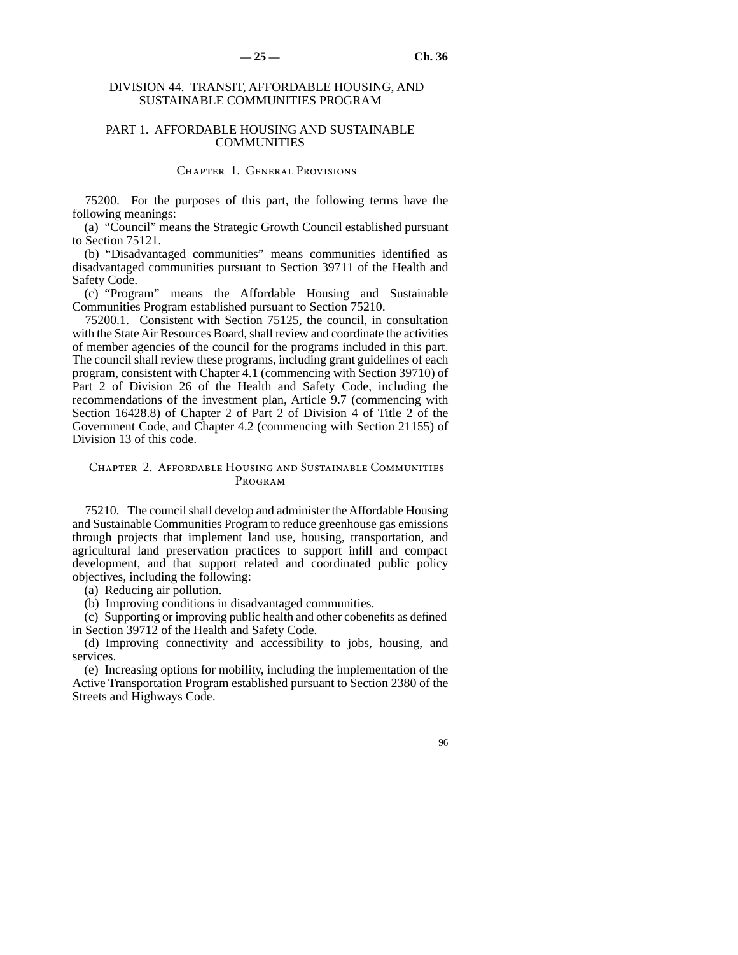### DIVISION 44. TRANSIT, AFFORDABLE HOUSING, AND SUSTAINABLE COMMUNITIES PROGRAM

#### PART 1. AFFORDABLE HOUSING AND SUSTAINABLE COMMUNITIES

#### Chapter 1. General Provisions

75200. For the purposes of this part, the following terms have the following meanings:

(a) "Council" means the Strategic Growth Council established pursuant to Section 75121.

(b) "Disadvantaged communities" means communities identified as disadvantaged communities pursuant to Section 39711 of the Health and Safety Code.

(c) "Program" means the Affordable Housing and Sustainable Communities Program established pursuant to Section 75210.

75200.1. Consistent with Section 75125, the council, in consultation with the State Air Resources Board, shall review and coordinate the activities of member agencies of the council for the programs included in this part. The council shall review these programs, including grant guidelines of each program, consistent with Chapter 4.1 (commencing with Section 39710) of Part 2 of Division 26 of the Health and Safety Code, including the recommendations of the investment plan, Article 9.7 (commencing with Section 16428.8) of Chapter 2 of Part 2 of Division 4 of Title 2 of the Government Code, and Chapter 4.2 (commencing with Section 21155) of Division 13 of this code.

#### Chapter 2. Affordable Housing and Sustainable Communities Program

75210. The council shall develop and administer the Affordable Housing and Sustainable Communities Program to reduce greenhouse gas emissions through projects that implement land use, housing, transportation, and agricultural land preservation practices to support infill and compact development, and that support related and coordinated public policy objectives, including the following:

(a) Reducing air pollution.

(b) Improving conditions in disadvantaged communities.

(c) Supporting or improving public health and other cobenefits as defined in Section 39712 of the Health and Safety Code.

(d) Improving connectivity and accessibility to jobs, housing, and services.

(e) Increasing options for mobility, including the implementation of the Active Transportation Program established pursuant to Section 2380 of the Streets and Highways Code.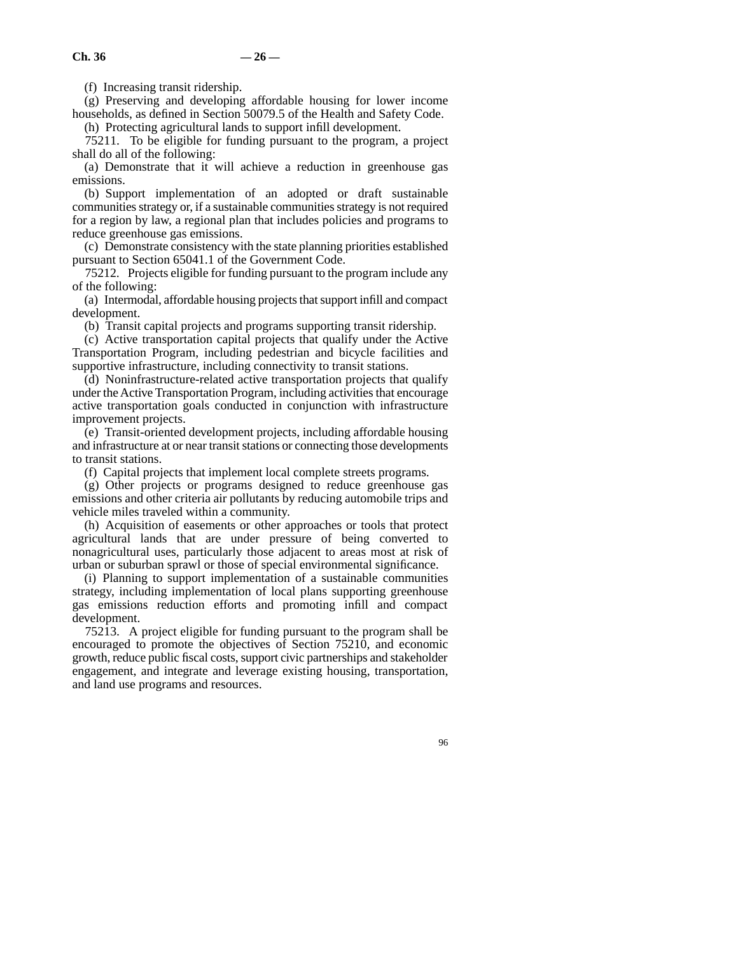(f) Increasing transit ridership.

(g) Preserving and developing affordable housing for lower income households, as defined in Section 50079.5 of the Health and Safety Code. (h) Protecting agricultural lands to support infill development.

75211. To be eligible for funding pursuant to the program, a project shall do all of the following:

(a) Demonstrate that it will achieve a reduction in greenhouse gas emissions.

(b) Support implementation of an adopted or draft sustainable communities strategy or, if a sustainable communities strategy is not required for a region by law, a regional plan that includes policies and programs to reduce greenhouse gas emissions.

(c) Demonstrate consistency with the state planning priorities established pursuant to Section 65041.1 of the Government Code.

75212. Projects eligible for funding pursuant to the program include any of the following:

(a) Intermodal, affordable housing projects that support infill and compact development.

(b) Transit capital projects and programs supporting transit ridership.

(c) Active transportation capital projects that qualify under the Active Transportation Program, including pedestrian and bicycle facilities and supportive infrastructure, including connectivity to transit stations.

(d) Noninfrastructure-related active transportation projects that qualify under the Active Transportation Program, including activities that encourage active transportation goals conducted in conjunction with infrastructure improvement projects.

(e) Transit-oriented development projects, including affordable housing and infrastructure at or near transit stations or connecting those developments to transit stations.

(f) Capital projects that implement local complete streets programs.

(g) Other projects or programs designed to reduce greenhouse gas emissions and other criteria air pollutants by reducing automobile trips and vehicle miles traveled within a community.

(h) Acquisition of easements or other approaches or tools that protect agricultural lands that are under pressure of being converted to nonagricultural uses, particularly those adjacent to areas most at risk of urban or suburban sprawl or those of special environmental significance.

(i) Planning to support implementation of a sustainable communities strategy, including implementation of local plans supporting greenhouse gas emissions reduction efforts and promoting infill and compact development.

75213. A project eligible for funding pursuant to the program shall be encouraged to promote the objectives of Section 75210, and economic growth, reduce public fiscal costs, support civic partnerships and stakeholder engagement, and integrate and leverage existing housing, transportation, and land use programs and resources.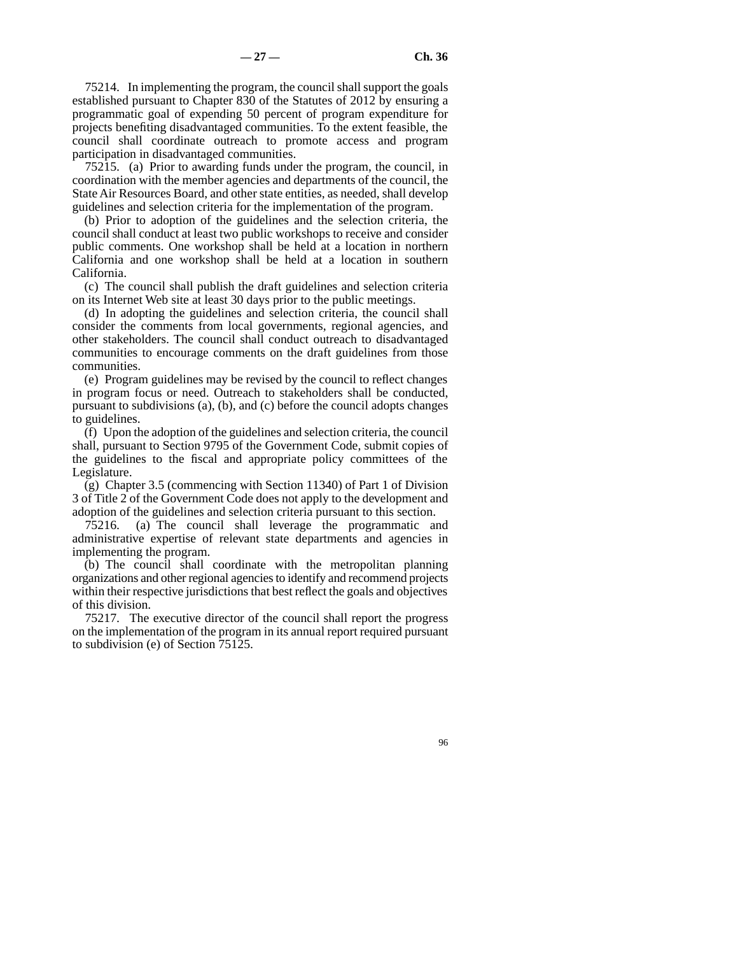75214. In implementing the program, the council shall support the goals established pursuant to Chapter 830 of the Statutes of 2012 by ensuring a programmatic goal of expending 50 percent of program expenditure for projects benefiting disadvantaged communities. To the extent feasible, the council shall coordinate outreach to promote access and program participation in disadvantaged communities.

75215. (a) Prior to awarding funds under the program, the council, in coordination with the member agencies and departments of the council, the State Air Resources Board, and other state entities, as needed, shall develop guidelines and selection criteria for the implementation of the program.

(b) Prior to adoption of the guidelines and the selection criteria, the council shall conduct at least two public workshops to receive and consider public comments. One workshop shall be held at a location in northern California and one workshop shall be held at a location in southern California.

(c) The council shall publish the draft guidelines and selection criteria on its Internet Web site at least 30 days prior to the public meetings.

(d) In adopting the guidelines and selection criteria, the council shall consider the comments from local governments, regional agencies, and other stakeholders. The council shall conduct outreach to disadvantaged communities to encourage comments on the draft guidelines from those communities.

(e) Program guidelines may be revised by the council to reflect changes in program focus or need. Outreach to stakeholders shall be conducted, pursuant to subdivisions (a), (b), and (c) before the council adopts changes to guidelines.

(f) Upon the adoption of the guidelines and selection criteria, the council shall, pursuant to Section 9795 of the Government Code, submit copies of the guidelines to the fiscal and appropriate policy committees of the Legislature.

(g) Chapter 3.5 (commencing with Section 11340) of Part 1 of Division 3 of Title 2 of the Government Code does not apply to the development and adoption of the guidelines and selection criteria pursuant to this section.

75216. (a) The council shall leverage the programmatic and administrative expertise of relevant state departments and agencies in implementing the program.

(b) The council shall coordinate with the metropolitan planning organizations and other regional agencies to identify and recommend projects within their respective jurisdictions that best reflect the goals and objectives of this division.

75217. The executive director of the council shall report the progress on the implementation of the program in its annual report required pursuant to subdivision (e) of Section 75125.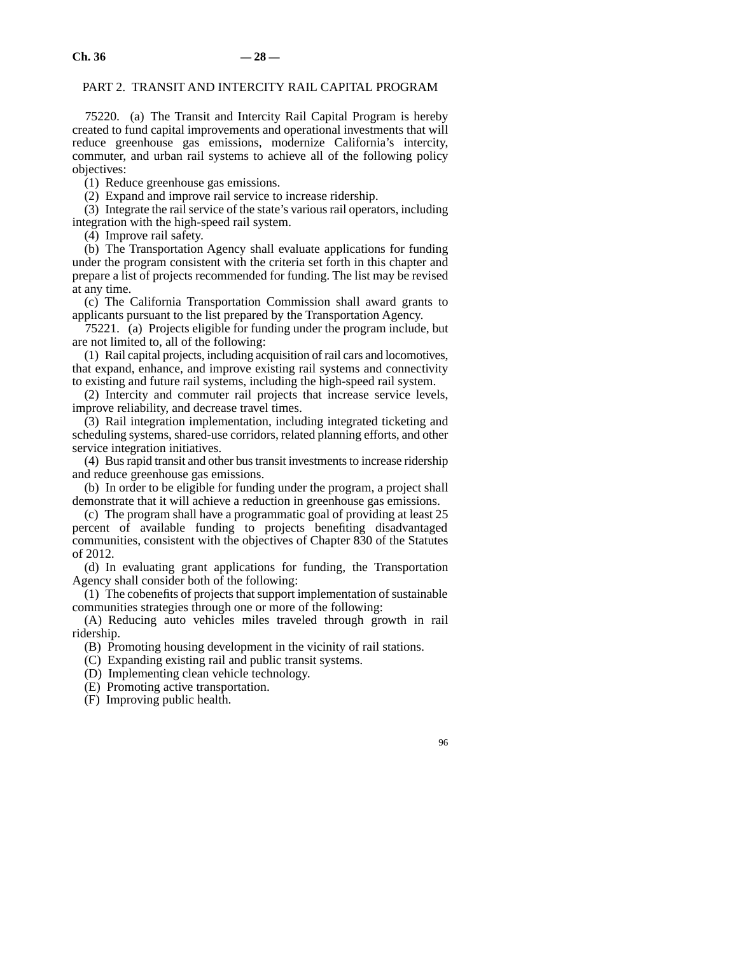### PART 2. TRANSIT AND INTERCITY RAIL CAPITAL PROGRAM

75220. (a) The Transit and Intercity Rail Capital Program is hereby created to fund capital improvements and operational investments that will reduce greenhouse gas emissions, modernize California's intercity, commuter, and urban rail systems to achieve all of the following policy objectives:

(1) Reduce greenhouse gas emissions.

(2) Expand and improve rail service to increase ridership.

(3) Integrate the rail service of the state's various rail operators, including integration with the high-speed rail system.

(4) Improve rail safety.

(b) The Transportation Agency shall evaluate applications for funding under the program consistent with the criteria set forth in this chapter and prepare a list of projects recommended for funding. The list may be revised at any time.

(c) The California Transportation Commission shall award grants to applicants pursuant to the list prepared by the Transportation Agency.

75221. (a) Projects eligible for funding under the program include, but are not limited to, all of the following:

(1) Rail capital projects, including acquisition of rail cars and locomotives, that expand, enhance, and improve existing rail systems and connectivity to existing and future rail systems, including the high-speed rail system.

(2) Intercity and commuter rail projects that increase service levels, improve reliability, and decrease travel times.

(3) Rail integration implementation, including integrated ticketing and scheduling systems, shared-use corridors, related planning efforts, and other service integration initiatives.

(4) Bus rapid transit and other bus transit investments to increase ridership and reduce greenhouse gas emissions.

(b) In order to be eligible for funding under the program, a project shall demonstrate that it will achieve a reduction in greenhouse gas emissions.

(c) The program shall have a programmatic goal of providing at least 25 percent of available funding to projects benefiting disadvantaged communities, consistent with the objectives of Chapter 830 of the Statutes of 2012.

(d) In evaluating grant applications for funding, the Transportation Agency shall consider both of the following:

(1) The cobenefits of projects that support implementation of sustainable communities strategies through one or more of the following:

(A) Reducing auto vehicles miles traveled through growth in rail ridership.

(B) Promoting housing development in the vicinity of rail stations.

(C) Expanding existing rail and public transit systems.

(D) Implementing clean vehicle technology.

(E) Promoting active transportation.

(F) Improving public health.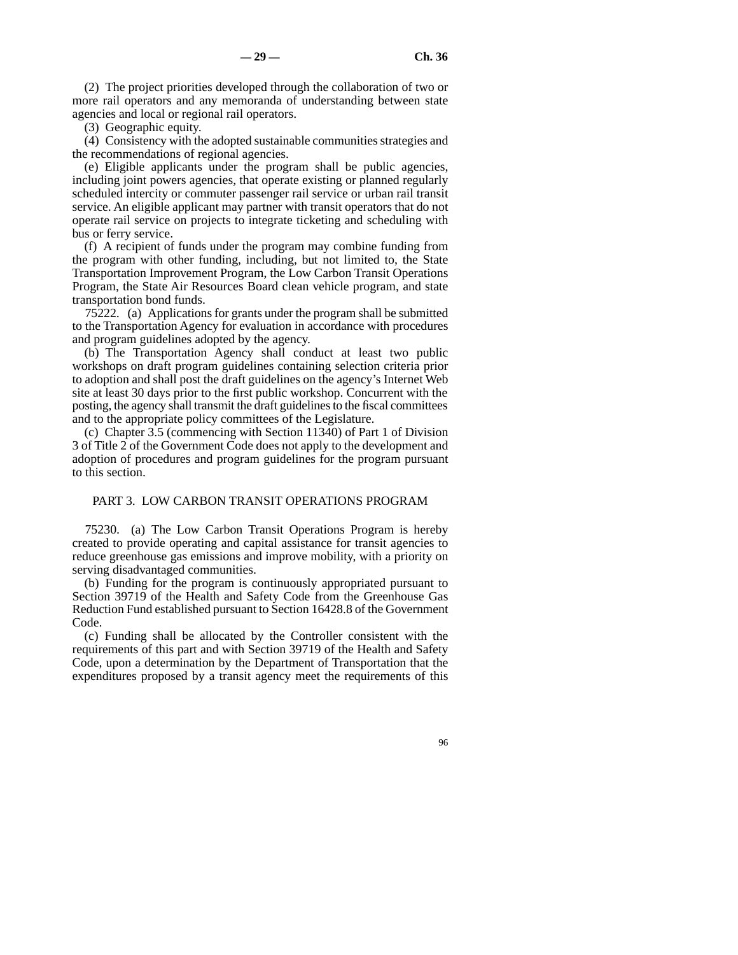(2) The project priorities developed through the collaboration of two or more rail operators and any memoranda of understanding between state agencies and local or regional rail operators.

(3) Geographic equity.

(4) Consistency with the adopted sustainable communities strategies and the recommendations of regional agencies.

(e) Eligible applicants under the program shall be public agencies, including joint powers agencies, that operate existing or planned regularly scheduled intercity or commuter passenger rail service or urban rail transit service. An eligible applicant may partner with transit operators that do not operate rail service on projects to integrate ticketing and scheduling with bus or ferry service.

(f) A recipient of funds under the program may combine funding from the program with other funding, including, but not limited to, the State Transportation Improvement Program, the Low Carbon Transit Operations Program, the State Air Resources Board clean vehicle program, and state transportation bond funds.

75222. (a) Applications for grants under the program shall be submitted to the Transportation Agency for evaluation in accordance with procedures and program guidelines adopted by the agency.

(b) The Transportation Agency shall conduct at least two public workshops on draft program guidelines containing selection criteria prior to adoption and shall post the draft guidelines on the agency's Internet Web site at least 30 days prior to the first public workshop. Concurrent with the posting, the agency shall transmit the draft guidelines to the fiscal committees and to the appropriate policy committees of the Legislature.

(c) Chapter 3.5 (commencing with Section 11340) of Part 1 of Division 3 of Title 2 of the Government Code does not apply to the development and adoption of procedures and program guidelines for the program pursuant to this section.

# PART 3. LOW CARBON TRANSIT OPERATIONS PROGRAM

75230. (a) The Low Carbon Transit Operations Program is hereby created to provide operating and capital assistance for transit agencies to reduce greenhouse gas emissions and improve mobility, with a priority on serving disadvantaged communities.

(b) Funding for the program is continuously appropriated pursuant to Section 39719 of the Health and Safety Code from the Greenhouse Gas Reduction Fund established pursuant to Section 16428.8 of the Government Code.

(c) Funding shall be allocated by the Controller consistent with the requirements of this part and with Section 39719 of the Health and Safety Code, upon a determination by the Department of Transportation that the expenditures proposed by a transit agency meet the requirements of this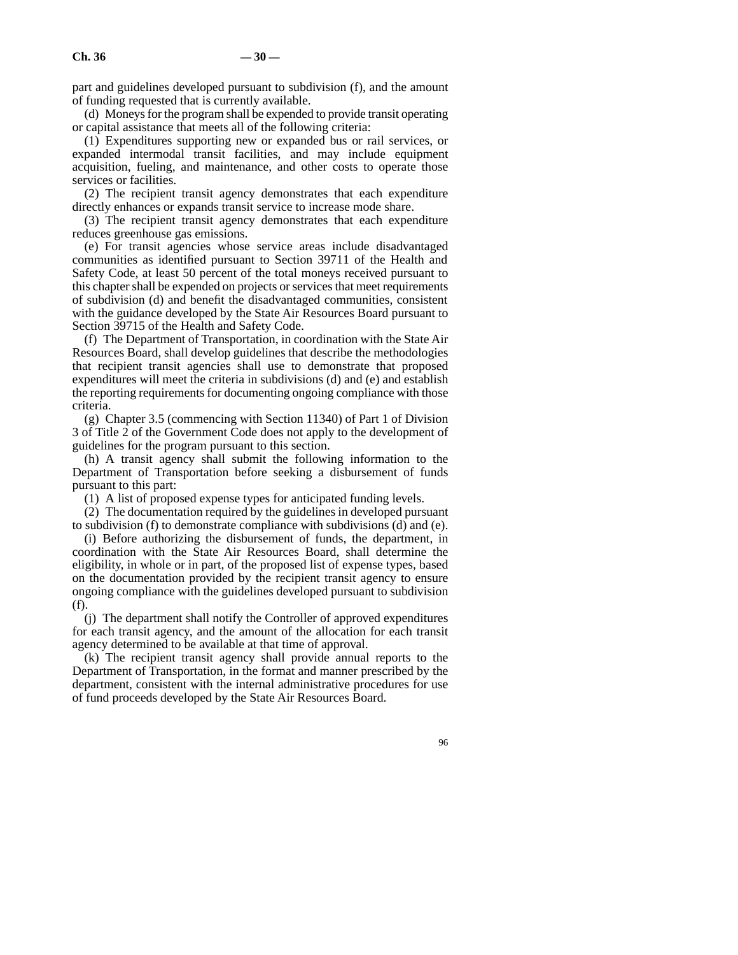part and guidelines developed pursuant to subdivision (f), and the amount of funding requested that is currently available.

(d) Moneys for the program shall be expended to provide transit operating or capital assistance that meets all of the following criteria:

(1) Expenditures supporting new or expanded bus or rail services, or expanded intermodal transit facilities, and may include equipment acquisition, fueling, and maintenance, and other costs to operate those services or facilities.

(2) The recipient transit agency demonstrates that each expenditure directly enhances or expands transit service to increase mode share.

(3) The recipient transit agency demonstrates that each expenditure reduces greenhouse gas emissions.

(e) For transit agencies whose service areas include disadvantaged communities as identified pursuant to Section 39711 of the Health and Safety Code, at least 50 percent of the total moneys received pursuant to this chapter shall be expended on projects or services that meet requirements of subdivision (d) and benefit the disadvantaged communities, consistent with the guidance developed by the State Air Resources Board pursuant to Section 39715 of the Health and Safety Code.

(f) The Department of Transportation, in coordination with the State Air Resources Board, shall develop guidelines that describe the methodologies that recipient transit agencies shall use to demonstrate that proposed expenditures will meet the criteria in subdivisions (d) and (e) and establish the reporting requirements for documenting ongoing compliance with those criteria.

(g) Chapter 3.5 (commencing with Section 11340) of Part 1 of Division 3 of Title 2 of the Government Code does not apply to the development of guidelines for the program pursuant to this section.

(h) A transit agency shall submit the following information to the Department of Transportation before seeking a disbursement of funds pursuant to this part:

(1) A list of proposed expense types for anticipated funding levels.

(2) The documentation required by the guidelines in developed pursuant to subdivision (f) to demonstrate compliance with subdivisions (d) and (e).

(i) Before authorizing the disbursement of funds, the department, in coordination with the State Air Resources Board, shall determine the eligibility, in whole or in part, of the proposed list of expense types, based on the documentation provided by the recipient transit agency to ensure ongoing compliance with the guidelines developed pursuant to subdivision (f).

(j) The department shall notify the Controller of approved expenditures for each transit agency, and the amount of the allocation for each transit agency determined to be available at that time of approval.

(k) The recipient transit agency shall provide annual reports to the Department of Transportation, in the format and manner prescribed by the department, consistent with the internal administrative procedures for use of fund proceeds developed by the State Air Resources Board.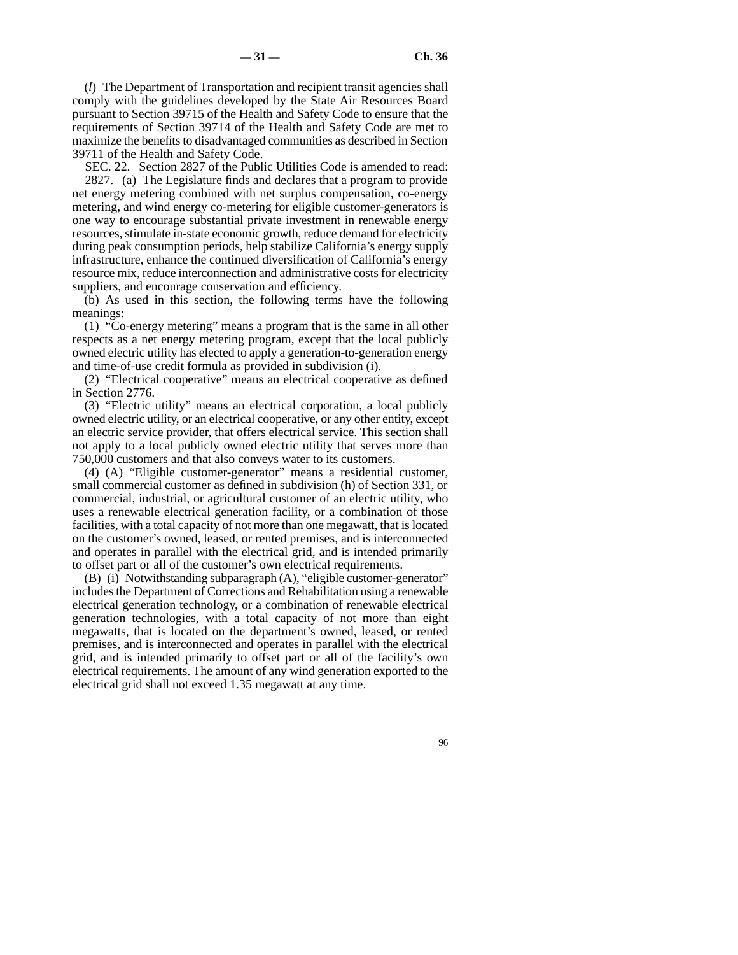(*l*) The Department of Transportation and recipient transit agencies shall comply with the guidelines developed by the State Air Resources Board pursuant to Section 39715 of the Health and Safety Code to ensure that the requirements of Section 39714 of the Health and Safety Code are met to maximize the benefits to disadvantaged communities as described in Section 39711 of the Health and Safety Code.

SEC. 22. Section 2827 of the Public Utilities Code is amended to read: 2827. (a) The Legislature finds and declares that a program to provide net energy metering combined with net surplus compensation, co-energy metering, and wind energy co-metering for eligible customer-generators is one way to encourage substantial private investment in renewable energy resources, stimulate in-state economic growth, reduce demand for electricity during peak consumption periods, help stabilize California's energy supply infrastructure, enhance the continued diversification of California's energy resource mix, reduce interconnection and administrative costs for electricity suppliers, and encourage conservation and efficiency.

(b) As used in this section, the following terms have the following meanings:

(1) "Co-energy metering" means a program that is the same in all other respects as a net energy metering program, except that the local publicly owned electric utility has elected to apply a generation-to-generation energy and time-of-use credit formula as provided in subdivision (i).

(2) "Electrical cooperative" means an electrical cooperative as defined in Section 2776.

(3) "Electric utility" means an electrical corporation, a local publicly owned electric utility, or an electrical cooperative, or any other entity, except an electric service provider, that offers electrical service. This section shall not apply to a local publicly owned electric utility that serves more than 750,000 customers and that also conveys water to its customers.

(4) (A) "Eligible customer-generator" means a residential customer, small commercial customer as defined in subdivision (h) of Section 331, or commercial, industrial, or agricultural customer of an electric utility, who uses a renewable electrical generation facility, or a combination of those facilities, with a total capacity of not more than one megawatt, that is located on the customer's owned, leased, or rented premises, and is interconnected and operates in parallel with the electrical grid, and is intended primarily to offset part or all of the customer's own electrical requirements.

(B) (i) Notwithstanding subparagraph (A), "eligible customer-generator" includes the Department of Corrections and Rehabilitation using a renewable electrical generation technology, or a combination of renewable electrical generation technologies, with a total capacity of not more than eight megawatts, that is located on the department's owned, leased, or rented premises, and is interconnected and operates in parallel with the electrical grid, and is intended primarily to offset part or all of the facility's own electrical requirements. The amount of any wind generation exported to the electrical grid shall not exceed 1.35 megawatt at any time.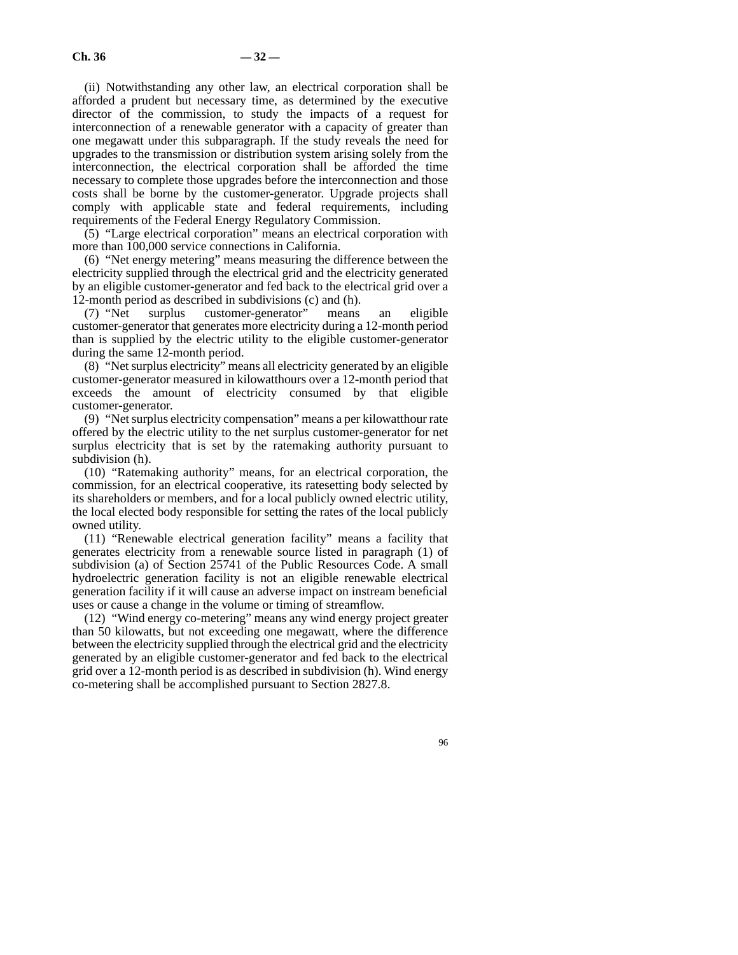(ii) Notwithstanding any other law, an electrical corporation shall be afforded a prudent but necessary time, as determined by the executive director of the commission, to study the impacts of a request for interconnection of a renewable generator with a capacity of greater than one megawatt under this subparagraph. If the study reveals the need for upgrades to the transmission or distribution system arising solely from the interconnection, the electrical corporation shall be afforded the time necessary to complete those upgrades before the interconnection and those costs shall be borne by the customer-generator. Upgrade projects shall comply with applicable state and federal requirements, including requirements of the Federal Energy Regulatory Commission.

(5) "Large electrical corporation" means an electrical corporation with more than 100,000 service connections in California.

(6) "Net energy metering" means measuring the difference between the electricity supplied through the electrical grid and the electricity generated by an eligible customer-generator and fed back to the electrical grid over a 12-month period as described in subdivisions (c) and (h).<br>
(7) "Net surplus customer-generator" means

surplus customer-generator" means an eligible customer-generator that generates more electricity during a 12-month period than is supplied by the electric utility to the eligible customer-generator during the same 12-month period.

(8) "Net surplus electricity" means all electricity generated by an eligible customer-generator measured in kilowatthours over a 12-month period that exceeds the amount of electricity consumed by that eligible customer-generator.

(9) "Net surplus electricity compensation" means a per kilowatthour rate offered by the electric utility to the net surplus customer-generator for net surplus electricity that is set by the ratemaking authority pursuant to subdivision (h).

(10) "Ratemaking authority" means, for an electrical corporation, the commission, for an electrical cooperative, its ratesetting body selected by its shareholders or members, and for a local publicly owned electric utility, the local elected body responsible for setting the rates of the local publicly owned utility.

(11) "Renewable electrical generation facility" means a facility that generates electricity from a renewable source listed in paragraph (1) of subdivision (a) of Section 25741 of the Public Resources Code. A small hydroelectric generation facility is not an eligible renewable electrical generation facility if it will cause an adverse impact on instream beneficial uses or cause a change in the volume or timing of streamflow.

(12) "Wind energy co-metering" means any wind energy project greater than 50 kilowatts, but not exceeding one megawatt, where the difference between the electricity supplied through the electrical grid and the electricity generated by an eligible customer-generator and fed back to the electrical grid over a 12-month period is as described in subdivision (h). Wind energy co-metering shall be accomplished pursuant to Section 2827.8.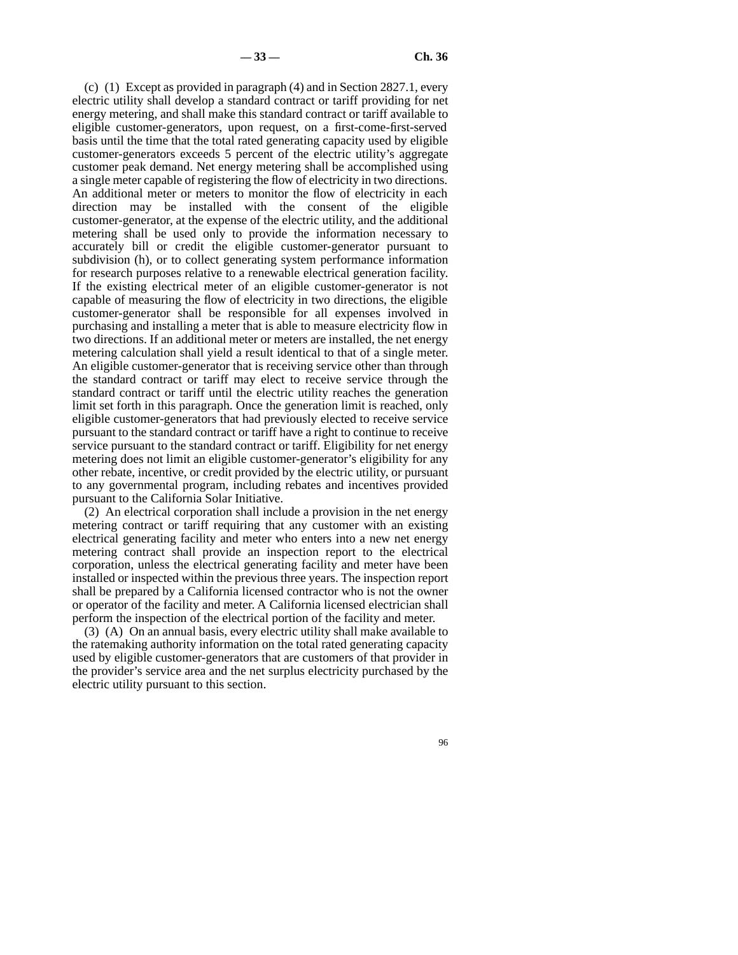(c) (1) Except as provided in paragraph (4) and in Section 2827.1, every electric utility shall develop a standard contract or tariff providing for net energy metering, and shall make this standard contract or tariff available to eligible customer-generators, upon request, on a first-come-first-served basis until the time that the total rated generating capacity used by eligible customer-generators exceeds 5 percent of the electric utility's aggregate customer peak demand. Net energy metering shall be accomplished using a single meter capable of registering the flow of electricity in two directions. An additional meter or meters to monitor the flow of electricity in each direction may be installed with the consent of the eligible customer-generator, at the expense of the electric utility, and the additional metering shall be used only to provide the information necessary to accurately bill or credit the eligible customer-generator pursuant to subdivision (h), or to collect generating system performance information for research purposes relative to a renewable electrical generation facility. If the existing electrical meter of an eligible customer-generator is not capable of measuring the flow of electricity in two directions, the eligible customer-generator shall be responsible for all expenses involved in purchasing and installing a meter that is able to measure electricity flow in two directions. If an additional meter or meters are installed, the net energy metering calculation shall yield a result identical to that of a single meter. An eligible customer-generator that is receiving service other than through the standard contract or tariff may elect to receive service through the standard contract or tariff until the electric utility reaches the generation limit set forth in this paragraph. Once the generation limit is reached, only eligible customer-generators that had previously elected to receive service pursuant to the standard contract or tariff have a right to continue to receive service pursuant to the standard contract or tariff. Eligibility for net energy metering does not limit an eligible customer-generator's eligibility for any other rebate, incentive, or credit provided by the electric utility, or pursuant to any governmental program, including rebates and incentives provided pursuant to the California Solar Initiative.

(2) An electrical corporation shall include a provision in the net energy metering contract or tariff requiring that any customer with an existing electrical generating facility and meter who enters into a new net energy metering contract shall provide an inspection report to the electrical corporation, unless the electrical generating facility and meter have been installed or inspected within the previous three years. The inspection report shall be prepared by a California licensed contractor who is not the owner or operator of the facility and meter. A California licensed electrician shall perform the inspection of the electrical portion of the facility and meter.

(3) (A) On an annual basis, every electric utility shall make available to the ratemaking authority information on the total rated generating capacity used by eligible customer-generators that are customers of that provider in the provider's service area and the net surplus electricity purchased by the electric utility pursuant to this section.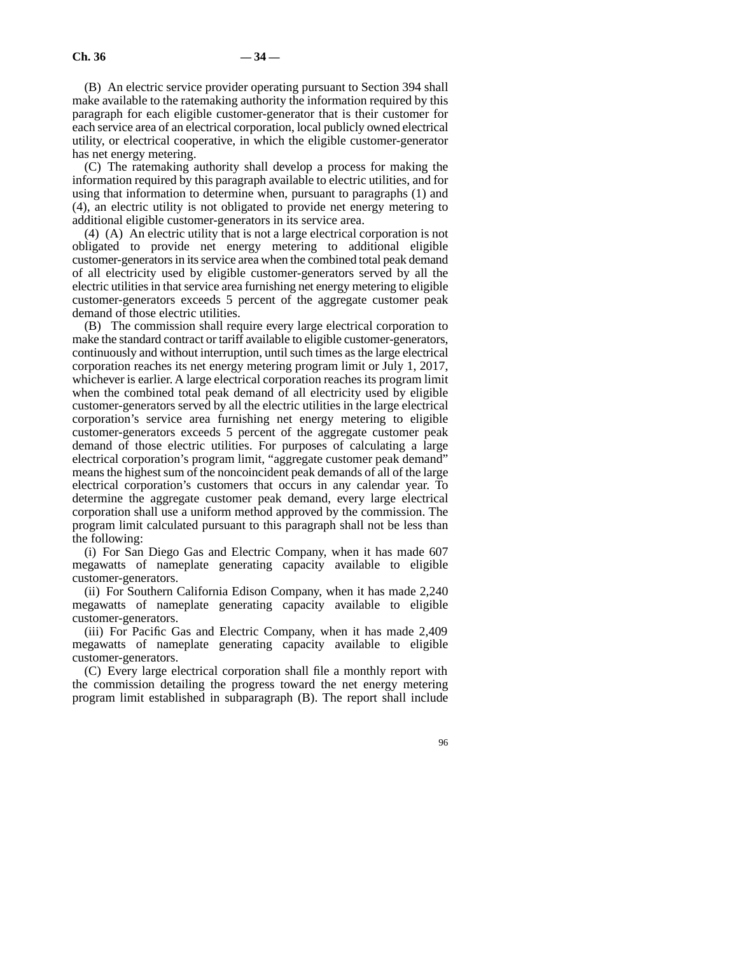(B) An electric service provider operating pursuant to Section 394 shall make available to the ratemaking authority the information required by this paragraph for each eligible customer-generator that is their customer for each service area of an electrical corporation, local publicly owned electrical utility, or electrical cooperative, in which the eligible customer-generator has net energy metering.

(C) The ratemaking authority shall develop a process for making the information required by this paragraph available to electric utilities, and for using that information to determine when, pursuant to paragraphs (1) and (4), an electric utility is not obligated to provide net energy metering to additional eligible customer-generators in its service area.

(4) (A) An electric utility that is not a large electrical corporation is not obligated to provide net energy metering to additional eligible customer-generators in its service area when the combined total peak demand of all electricity used by eligible customer-generators served by all the electric utilities in that service area furnishing net energy metering to eligible customer-generators exceeds 5 percent of the aggregate customer peak demand of those electric utilities.

(B) The commission shall require every large electrical corporation to make the standard contract or tariff available to eligible customer-generators, continuously and without interruption, until such times as the large electrical corporation reaches its net energy metering program limit or July 1, 2017, whichever is earlier. A large electrical corporation reaches its program limit when the combined total peak demand of all electricity used by eligible customer-generators served by all the electric utilities in the large electrical corporation's service area furnishing net energy metering to eligible customer-generators exceeds 5 percent of the aggregate customer peak demand of those electric utilities. For purposes of calculating a large electrical corporation's program limit, "aggregate customer peak demand" means the highest sum of the noncoincident peak demands of all of the large electrical corporation's customers that occurs in any calendar year. To determine the aggregate customer peak demand, every large electrical corporation shall use a uniform method approved by the commission. The program limit calculated pursuant to this paragraph shall not be less than the following:

(i) For San Diego Gas and Electric Company, when it has made 607 megawatts of nameplate generating capacity available to eligible customer-generators.

(ii) For Southern California Edison Company, when it has made 2,240 megawatts of nameplate generating capacity available to eligible customer-generators.

(iii) For Pacific Gas and Electric Company, when it has made 2,409 megawatts of nameplate generating capacity available to eligible customer-generators.

(C) Every large electrical corporation shall file a monthly report with the commission detailing the progress toward the net energy metering program limit established in subparagraph (B). The report shall include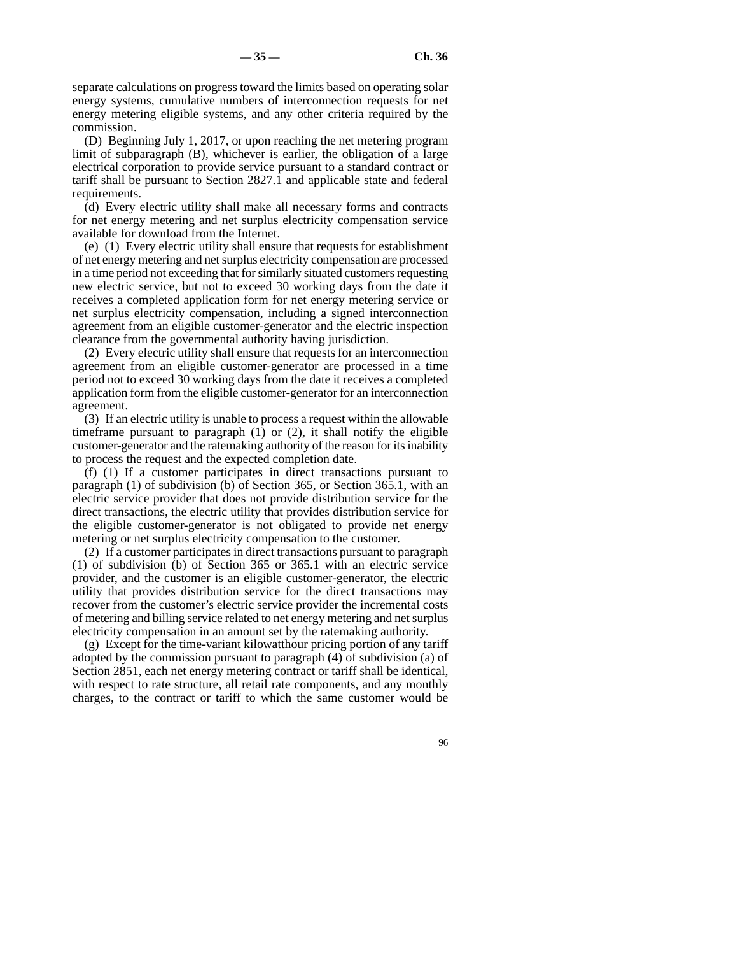separate calculations on progress toward the limits based on operating solar energy systems, cumulative numbers of interconnection requests for net energy metering eligible systems, and any other criteria required by the commission.

(D) Beginning July 1, 2017, or upon reaching the net metering program limit of subparagraph (B), whichever is earlier, the obligation of a large electrical corporation to provide service pursuant to a standard contract or tariff shall be pursuant to Section 2827.1 and applicable state and federal requirements.

(d) Every electric utility shall make all necessary forms and contracts for net energy metering and net surplus electricity compensation service available for download from the Internet.

(e) (1) Every electric utility shall ensure that requests for establishment of net energy metering and net surplus electricity compensation are processed in a time period not exceeding that for similarly situated customers requesting new electric service, but not to exceed 30 working days from the date it receives a completed application form for net energy metering service or net surplus electricity compensation, including a signed interconnection agreement from an eligible customer-generator and the electric inspection clearance from the governmental authority having jurisdiction.

(2) Every electric utility shall ensure that requests for an interconnection agreement from an eligible customer-generator are processed in a time period not to exceed 30 working days from the date it receives a completed application form from the eligible customer-generator for an interconnection agreement.

(3) If an electric utility is unable to process a request within the allowable timeframe pursuant to paragraph (1) or (2), it shall notify the eligible customer-generator and the ratemaking authority of the reason for its inability to process the request and the expected completion date.

(f) (1) If a customer participates in direct transactions pursuant to paragraph (1) of subdivision (b) of Section 365, or Section 365.1, with an electric service provider that does not provide distribution service for the direct transactions, the electric utility that provides distribution service for the eligible customer-generator is not obligated to provide net energy metering or net surplus electricity compensation to the customer.

(2) If a customer participates in direct transactions pursuant to paragraph (1) of subdivision (b) of Section 365 or 365.1 with an electric service provider, and the customer is an eligible customer-generator, the electric utility that provides distribution service for the direct transactions may recover from the customer's electric service provider the incremental costs of metering and billing service related to net energy metering and net surplus electricity compensation in an amount set by the ratemaking authority.

(g) Except for the time-variant kilowatthour pricing portion of any tariff adopted by the commission pursuant to paragraph (4) of subdivision (a) of Section 2851, each net energy metering contract or tariff shall be identical, with respect to rate structure, all retail rate components, and any monthly charges, to the contract or tariff to which the same customer would be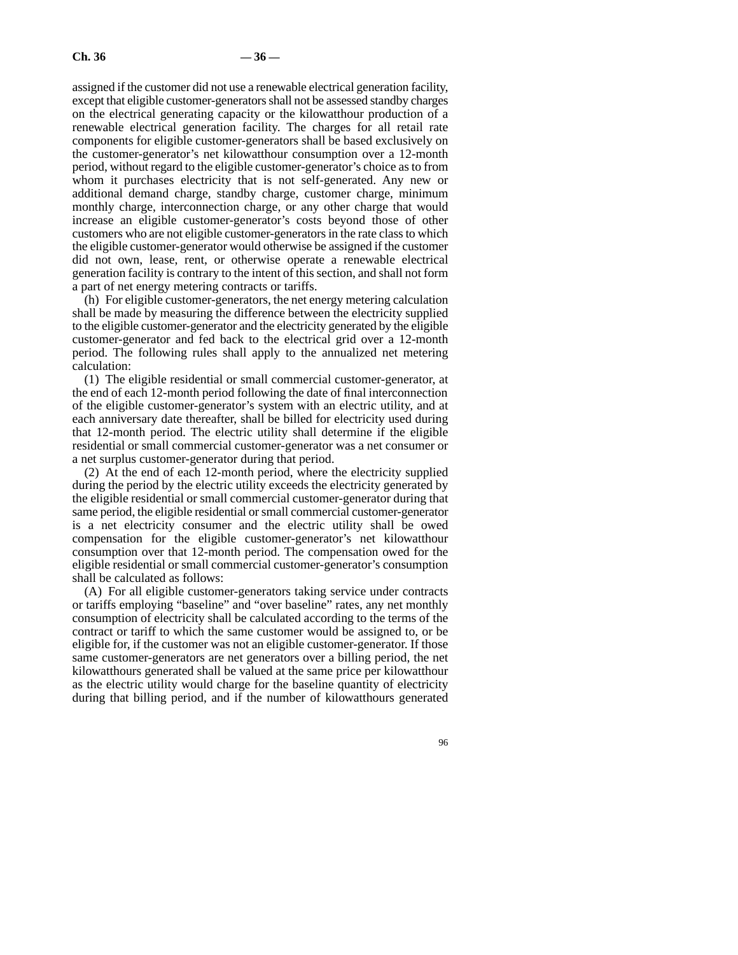assigned if the customer did not use a renewable electrical generation facility, except that eligible customer-generators shall not be assessed standby charges on the electrical generating capacity or the kilowatthour production of a renewable electrical generation facility. The charges for all retail rate components for eligible customer-generators shall be based exclusively on the customer-generator's net kilowatthour consumption over a 12-month period, without regard to the eligible customer-generator's choice as to from whom it purchases electricity that is not self-generated. Any new or additional demand charge, standby charge, customer charge, minimum monthly charge, interconnection charge, or any other charge that would increase an eligible customer-generator's costs beyond those of other customers who are not eligible customer-generators in the rate class to which the eligible customer-generator would otherwise be assigned if the customer did not own, lease, rent, or otherwise operate a renewable electrical generation facility is contrary to the intent of this section, and shall not form a part of net energy metering contracts or tariffs.

(h) For eligible customer-generators, the net energy metering calculation shall be made by measuring the difference between the electricity supplied to the eligible customer-generator and the electricity generated by the eligible customer-generator and fed back to the electrical grid over a 12-month period. The following rules shall apply to the annualized net metering calculation:

(1) The eligible residential or small commercial customer-generator, at the end of each 12-month period following the date of final interconnection of the eligible customer-generator's system with an electric utility, and at each anniversary date thereafter, shall be billed for electricity used during that 12-month period. The electric utility shall determine if the eligible residential or small commercial customer-generator was a net consumer or a net surplus customer-generator during that period.

(2) At the end of each 12-month period, where the electricity supplied during the period by the electric utility exceeds the electricity generated by the eligible residential or small commercial customer-generator during that same period, the eligible residential or small commercial customer-generator is a net electricity consumer and the electric utility shall be owed compensation for the eligible customer-generator's net kilowatthour consumption over that 12-month period. The compensation owed for the eligible residential or small commercial customer-generator's consumption shall be calculated as follows:

(A) For all eligible customer-generators taking service under contracts or tariffs employing "baseline" and "over baseline" rates, any net monthly consumption of electricity shall be calculated according to the terms of the contract or tariff to which the same customer would be assigned to, or be eligible for, if the customer was not an eligible customer-generator. If those same customer-generators are net generators over a billing period, the net kilowatthours generated shall be valued at the same price per kilowatthour as the electric utility would charge for the baseline quantity of electricity during that billing period, and if the number of kilowatthours generated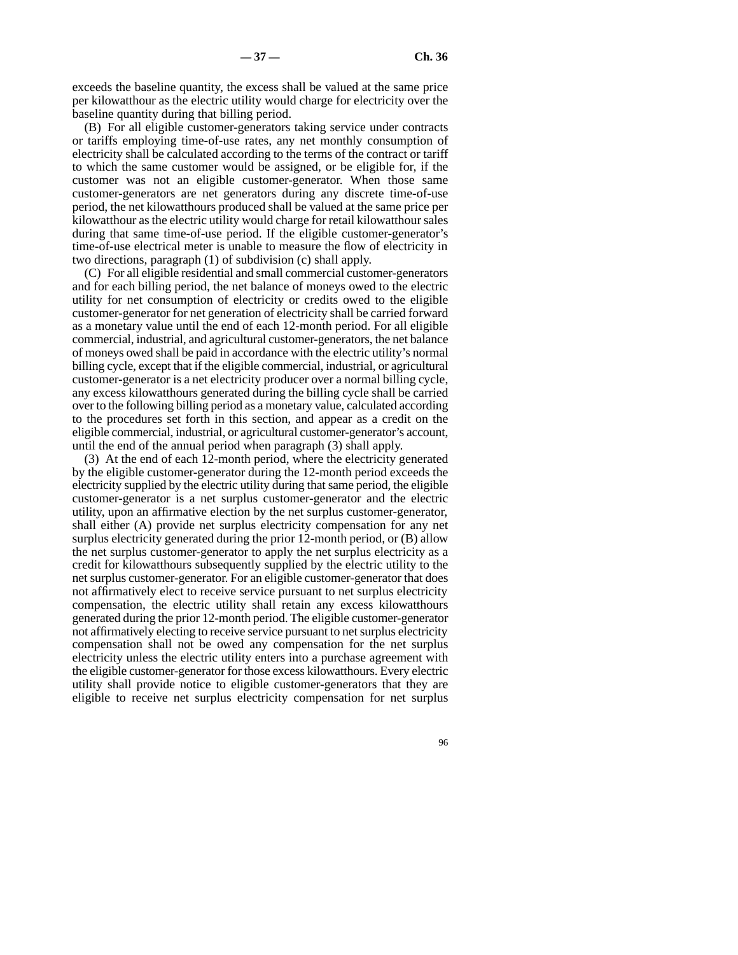exceeds the baseline quantity, the excess shall be valued at the same price per kilowatthour as the electric utility would charge for electricity over the baseline quantity during that billing period.

(B) For all eligible customer-generators taking service under contracts or tariffs employing time-of-use rates, any net monthly consumption of electricity shall be calculated according to the terms of the contract or tariff to which the same customer would be assigned, or be eligible for, if the customer was not an eligible customer-generator. When those same customer-generators are net generators during any discrete time-of-use period, the net kilowatthours produced shall be valued at the same price per kilowatthour as the electric utility would charge for retail kilowatthour sales during that same time-of-use period. If the eligible customer-generator's time-of-use electrical meter is unable to measure the flow of electricity in two directions, paragraph (1) of subdivision (c) shall apply.

(C) For all eligible residential and small commercial customer-generators and for each billing period, the net balance of moneys owed to the electric utility for net consumption of electricity or credits owed to the eligible customer-generator for net generation of electricity shall be carried forward as a monetary value until the end of each 12-month period. For all eligible commercial, industrial, and agricultural customer-generators, the net balance of moneys owed shall be paid in accordance with the electric utility's normal billing cycle, except that if the eligible commercial, industrial, or agricultural customer-generator is a net electricity producer over a normal billing cycle, any excess kilowatthours generated during the billing cycle shall be carried over to the following billing period as a monetary value, calculated according to the procedures set forth in this section, and appear as a credit on the eligible commercial, industrial, or agricultural customer-generator's account, until the end of the annual period when paragraph (3) shall apply.

(3) At the end of each 12-month period, where the electricity generated by the eligible customer-generator during the 12-month period exceeds the electricity supplied by the electric utility during that same period, the eligible customer-generator is a net surplus customer-generator and the electric utility, upon an affirmative election by the net surplus customer-generator, shall either (A) provide net surplus electricity compensation for any net surplus electricity generated during the prior 12-month period, or (B) allow the net surplus customer-generator to apply the net surplus electricity as a credit for kilowatthours subsequently supplied by the electric utility to the net surplus customer-generator. For an eligible customer-generator that does not affirmatively elect to receive service pursuant to net surplus electricity compensation, the electric utility shall retain any excess kilowatthours generated during the prior 12-month period. The eligible customer-generator not affirmatively electing to receive service pursuant to net surplus electricity compensation shall not be owed any compensation for the net surplus electricity unless the electric utility enters into a purchase agreement with the eligible customer-generator for those excess kilowatthours. Every electric utility shall provide notice to eligible customer-generators that they are eligible to receive net surplus electricity compensation for net surplus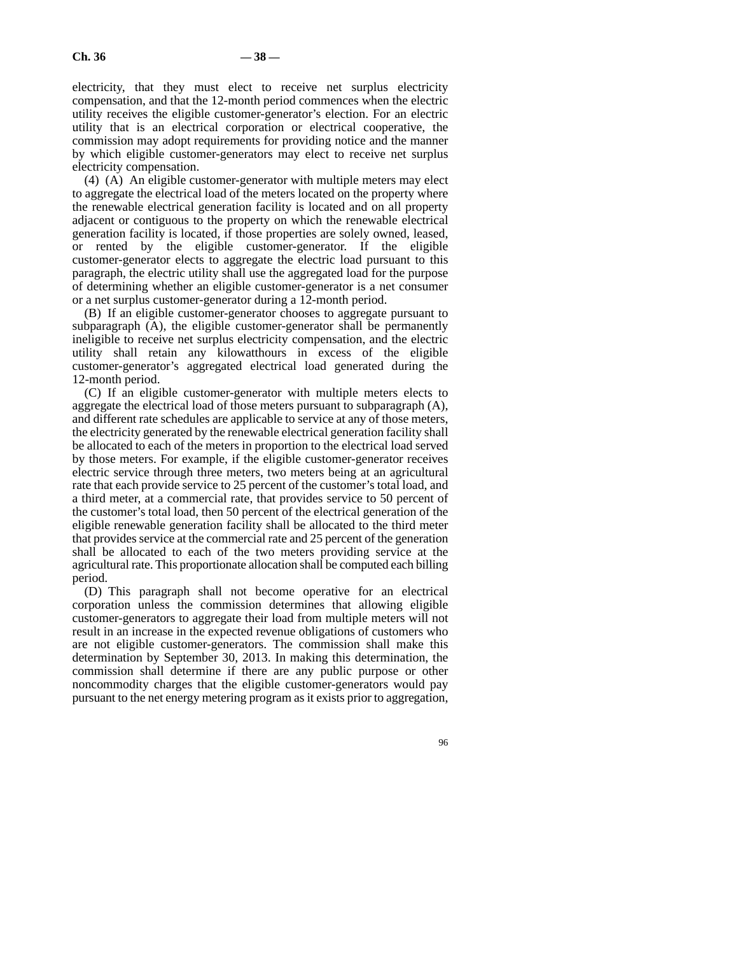electricity, that they must elect to receive net surplus electricity compensation, and that the 12-month period commences when the electric utility receives the eligible customer-generator's election. For an electric utility that is an electrical corporation or electrical cooperative, the commission may adopt requirements for providing notice and the manner by which eligible customer-generators may elect to receive net surplus electricity compensation.

(4) (A) An eligible customer-generator with multiple meters may elect to aggregate the electrical load of the meters located on the property where the renewable electrical generation facility is located and on all property adjacent or contiguous to the property on which the renewable electrical generation facility is located, if those properties are solely owned, leased, or rented by the eligible customer-generator. If the eligible customer-generator elects to aggregate the electric load pursuant to this paragraph, the electric utility shall use the aggregated load for the purpose of determining whether an eligible customer-generator is a net consumer or a net surplus customer-generator during a 12-month period.

(B) If an eligible customer-generator chooses to aggregate pursuant to subparagraph (A), the eligible customer-generator shall be permanently ineligible to receive net surplus electricity compensation, and the electric utility shall retain any kilowatthours in excess of the eligible customer-generator's aggregated electrical load generated during the 12-month period.

(C) If an eligible customer-generator with multiple meters elects to aggregate the electrical load of those meters pursuant to subparagraph (A), and different rate schedules are applicable to service at any of those meters, the electricity generated by the renewable electrical generation facility shall be allocated to each of the meters in proportion to the electrical load served by those meters. For example, if the eligible customer-generator receives electric service through three meters, two meters being at an agricultural rate that each provide service to 25 percent of the customer's total load, and a third meter, at a commercial rate, that provides service to 50 percent of the customer's total load, then 50 percent of the electrical generation of the eligible renewable generation facility shall be allocated to the third meter that provides service at the commercial rate and 25 percent of the generation shall be allocated to each of the two meters providing service at the agricultural rate. This proportionate allocation shall be computed each billing period.

(D) This paragraph shall not become operative for an electrical corporation unless the commission determines that allowing eligible customer-generators to aggregate their load from multiple meters will not result in an increase in the expected revenue obligations of customers who are not eligible customer-generators. The commission shall make this determination by September 30, 2013. In making this determination, the commission shall determine if there are any public purpose or other noncommodity charges that the eligible customer-generators would pay pursuant to the net energy metering program as it exists prior to aggregation,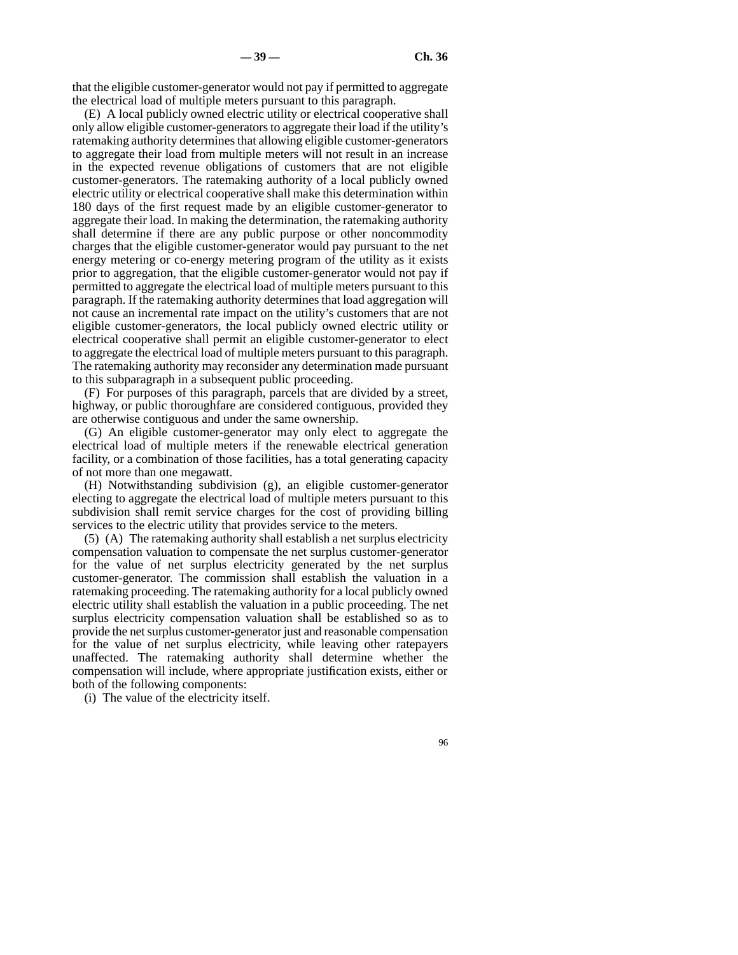that the eligible customer-generator would not pay if permitted to aggregate the electrical load of multiple meters pursuant to this paragraph.

(E) A local publicly owned electric utility or electrical cooperative shall only allow eligible customer-generators to aggregate their load if the utility's ratemaking authority determines that allowing eligible customer-generators to aggregate their load from multiple meters will not result in an increase in the expected revenue obligations of customers that are not eligible customer-generators. The ratemaking authority of a local publicly owned electric utility or electrical cooperative shall make this determination within 180 days of the first request made by an eligible customer-generator to aggregate their load. In making the determination, the ratemaking authority shall determine if there are any public purpose or other noncommodity charges that the eligible customer-generator would pay pursuant to the net energy metering or co-energy metering program of the utility as it exists prior to aggregation, that the eligible customer-generator would not pay if permitted to aggregate the electrical load of multiple meters pursuant to this paragraph. If the ratemaking authority determines that load aggregation will not cause an incremental rate impact on the utility's customers that are not eligible customer-generators, the local publicly owned electric utility or electrical cooperative shall permit an eligible customer-generator to elect to aggregate the electrical load of multiple meters pursuant to this paragraph. The ratemaking authority may reconsider any determination made pursuant to this subparagraph in a subsequent public proceeding.

(F) For purposes of this paragraph, parcels that are divided by a street, highway, or public thoroughfare are considered contiguous, provided they are otherwise contiguous and under the same ownership.

(G) An eligible customer-generator may only elect to aggregate the electrical load of multiple meters if the renewable electrical generation facility, or a combination of those facilities, has a total generating capacity of not more than one megawatt.

(H) Notwithstanding subdivision (g), an eligible customer-generator electing to aggregate the electrical load of multiple meters pursuant to this subdivision shall remit service charges for the cost of providing billing services to the electric utility that provides service to the meters.

(5) (A) The ratemaking authority shall establish a net surplus electricity compensation valuation to compensate the net surplus customer-generator for the value of net surplus electricity generated by the net surplus customer-generator. The commission shall establish the valuation in a ratemaking proceeding. The ratemaking authority for a local publicly owned electric utility shall establish the valuation in a public proceeding. The net surplus electricity compensation valuation shall be established so as to provide the net surplus customer-generator just and reasonable compensation for the value of net surplus electricity, while leaving other ratepayers unaffected. The ratemaking authority shall determine whether the compensation will include, where appropriate justification exists, either or both of the following components:

(i) The value of the electricity itself.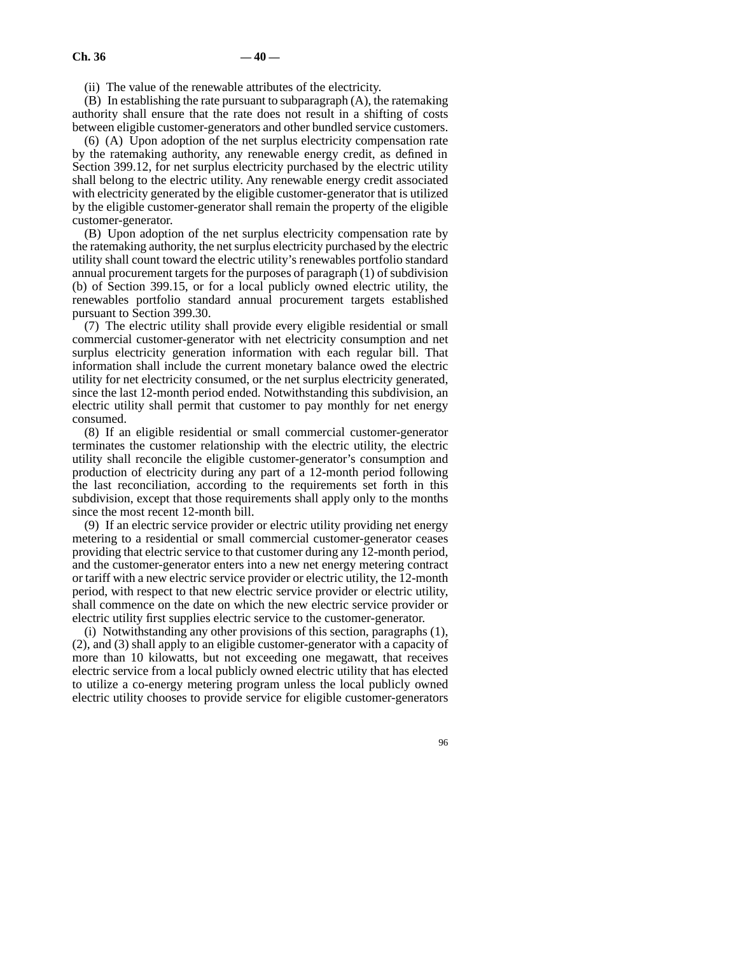(ii) The value of the renewable attributes of the electricity.

(B) In establishing the rate pursuant to subparagraph (A), the ratemaking authority shall ensure that the rate does not result in a shifting of costs between eligible customer-generators and other bundled service customers.

(6) (A) Upon adoption of the net surplus electricity compensation rate by the ratemaking authority, any renewable energy credit, as defined in Section 399.12, for net surplus electricity purchased by the electric utility shall belong to the electric utility. Any renewable energy credit associated with electricity generated by the eligible customer-generator that is utilized by the eligible customer-generator shall remain the property of the eligible customer-generator.

(B) Upon adoption of the net surplus electricity compensation rate by the ratemaking authority, the net surplus electricity purchased by the electric utility shall count toward the electric utility's renewables portfolio standard annual procurement targets for the purposes of paragraph (1) of subdivision (b) of Section 399.15, or for a local publicly owned electric utility, the renewables portfolio standard annual procurement targets established pursuant to Section 399.30.

(7) The electric utility shall provide every eligible residential or small commercial customer-generator with net electricity consumption and net surplus electricity generation information with each regular bill. That information shall include the current monetary balance owed the electric utility for net electricity consumed, or the net surplus electricity generated, since the last 12-month period ended. Notwithstanding this subdivision, an electric utility shall permit that customer to pay monthly for net energy consumed.

(8) If an eligible residential or small commercial customer-generator terminates the customer relationship with the electric utility, the electric utility shall reconcile the eligible customer-generator's consumption and production of electricity during any part of a 12-month period following the last reconciliation, according to the requirements set forth in this subdivision, except that those requirements shall apply only to the months since the most recent 12-month bill.

(9) If an electric service provider or electric utility providing net energy metering to a residential or small commercial customer-generator ceases providing that electric service to that customer during any 12-month period, and the customer-generator enters into a new net energy metering contract or tariff with a new electric service provider or electric utility, the 12-month period, with respect to that new electric service provider or electric utility, shall commence on the date on which the new electric service provider or electric utility first supplies electric service to the customer-generator.

(i) Notwithstanding any other provisions of this section, paragraphs (1), (2), and (3) shall apply to an eligible customer-generator with a capacity of more than 10 kilowatts, but not exceeding one megawatt, that receives electric service from a local publicly owned electric utility that has elected to utilize a co-energy metering program unless the local publicly owned electric utility chooses to provide service for eligible customer-generators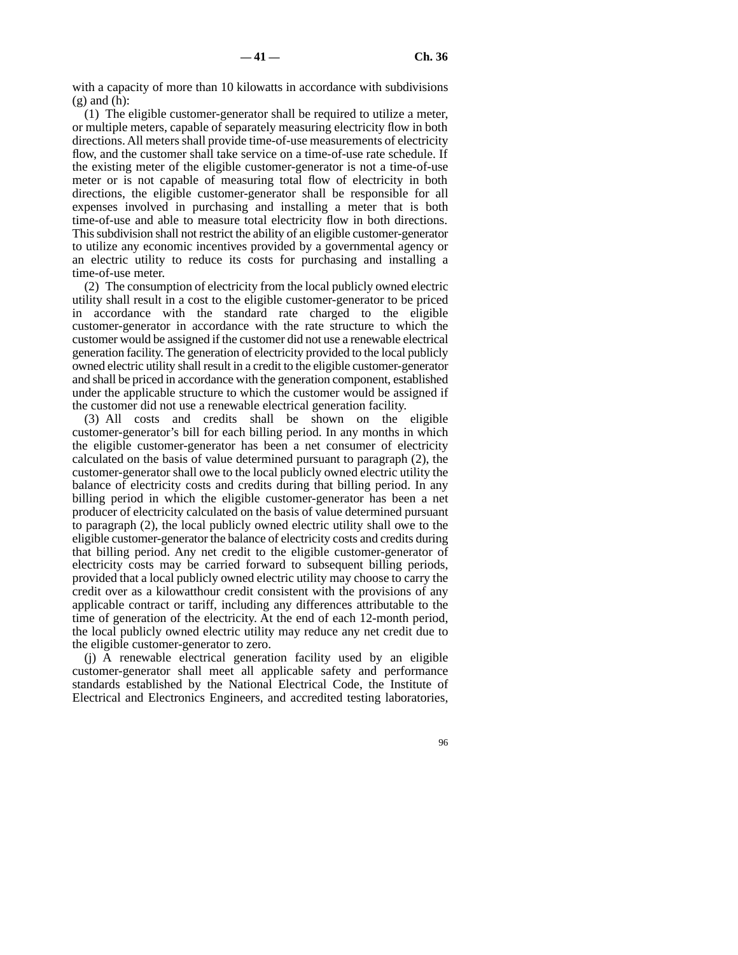with a capacity of more than 10 kilowatts in accordance with subdivisions  $(g)$  and  $(h)$ :

(1) The eligible customer-generator shall be required to utilize a meter, or multiple meters, capable of separately measuring electricity flow in both directions. All meters shall provide time-of-use measurements of electricity flow, and the customer shall take service on a time-of-use rate schedule. If the existing meter of the eligible customer-generator is not a time-of-use meter or is not capable of measuring total flow of electricity in both directions, the eligible customer-generator shall be responsible for all expenses involved in purchasing and installing a meter that is both time-of-use and able to measure total electricity flow in both directions. This subdivision shall not restrict the ability of an eligible customer-generator to utilize any economic incentives provided by a governmental agency or an electric utility to reduce its costs for purchasing and installing a time-of-use meter.

(2) The consumption of electricity from the local publicly owned electric utility shall result in a cost to the eligible customer-generator to be priced in accordance with the standard rate charged to the eligible customer-generator in accordance with the rate structure to which the customer would be assigned if the customer did not use a renewable electrical generation facility. The generation of electricity provided to the local publicly owned electric utility shall result in a credit to the eligible customer-generator and shall be priced in accordance with the generation component, established under the applicable structure to which the customer would be assigned if the customer did not use a renewable electrical generation facility.

(3) All costs and credits shall be shown on the eligible customer-generator's bill for each billing period. In any months in which the eligible customer-generator has been a net consumer of electricity calculated on the basis of value determined pursuant to paragraph (2), the customer-generator shall owe to the local publicly owned electric utility the balance of electricity costs and credits during that billing period. In any billing period in which the eligible customer-generator has been a net producer of electricity calculated on the basis of value determined pursuant to paragraph (2), the local publicly owned electric utility shall owe to the eligible customer-generator the balance of electricity costs and credits during that billing period. Any net credit to the eligible customer-generator of electricity costs may be carried forward to subsequent billing periods, provided that a local publicly owned electric utility may choose to carry the credit over as a kilowatthour credit consistent with the provisions of any applicable contract or tariff, including any differences attributable to the time of generation of the electricity. At the end of each 12-month period, the local publicly owned electric utility may reduce any net credit due to the eligible customer-generator to zero.

(j) A renewable electrical generation facility used by an eligible customer-generator shall meet all applicable safety and performance standards established by the National Electrical Code, the Institute of Electrical and Electronics Engineers, and accredited testing laboratories,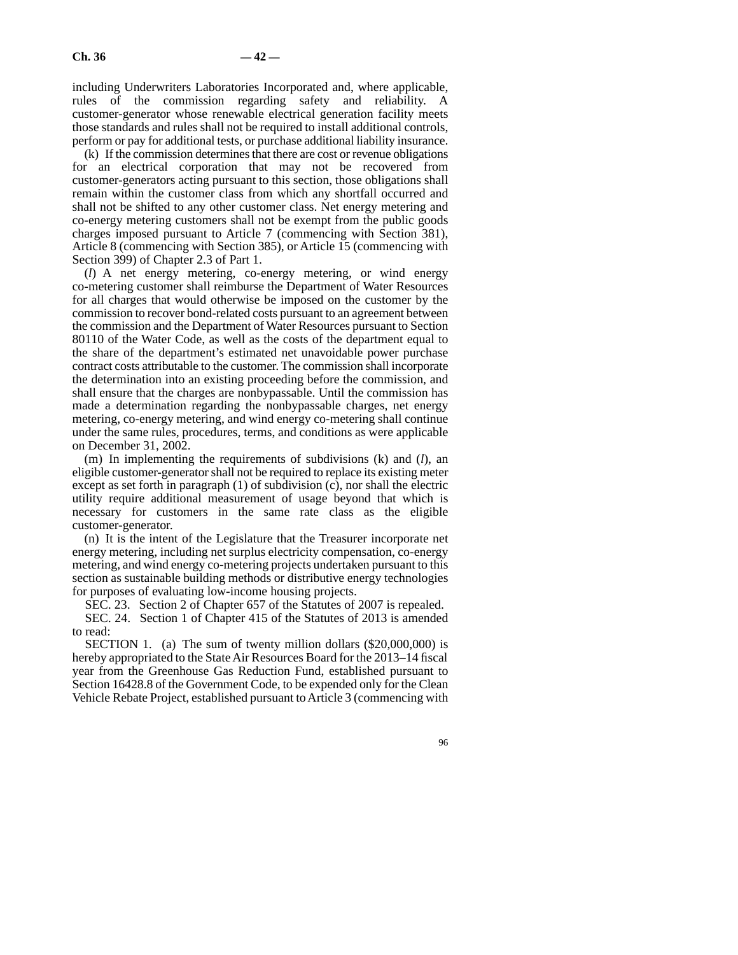including Underwriters Laboratories Incorporated and, where applicable, rules of the commission regarding safety and reliability. A customer-generator whose renewable electrical generation facility meets those standards and rules shall not be required to install additional controls, perform or pay for additional tests, or purchase additional liability insurance.

(k) If the commission determines that there are cost or revenue obligations for an electrical corporation that may not be recovered from customer-generators acting pursuant to this section, those obligations shall remain within the customer class from which any shortfall occurred and shall not be shifted to any other customer class. Net energy metering and co-energy metering customers shall not be exempt from the public goods charges imposed pursuant to Article 7 (commencing with Section 381), Article 8 (commencing with Section 385), or Article 15 (commencing with Section 399) of Chapter 2.3 of Part 1.

(*l*) A net energy metering, co-energy metering, or wind energy co-metering customer shall reimburse the Department of Water Resources for all charges that would otherwise be imposed on the customer by the commission to recover bond-related costs pursuant to an agreement between the commission and the Department of Water Resources pursuant to Section 80110 of the Water Code, as well as the costs of the department equal to the share of the department's estimated net unavoidable power purchase contract costs attributable to the customer. The commission shall incorporate the determination into an existing proceeding before the commission, and shall ensure that the charges are nonbypassable. Until the commission has made a determination regarding the nonbypassable charges, net energy metering, co-energy metering, and wind energy co-metering shall continue under the same rules, procedures, terms, and conditions as were applicable on December 31, 2002.

(m) In implementing the requirements of subdivisions (k) and (*l*), an eligible customer-generator shall not be required to replace its existing meter except as set forth in paragraph (1) of subdivision (c), nor shall the electric utility require additional measurement of usage beyond that which is necessary for customers in the same rate class as the eligible customer-generator.

(n) It is the intent of the Legislature that the Treasurer incorporate net energy metering, including net surplus electricity compensation, co-energy metering, and wind energy co-metering projects undertaken pursuant to this section as sustainable building methods or distributive energy technologies for purposes of evaluating low-income housing projects.

SEC. 23. Section 2 of Chapter 657 of the Statutes of 2007 is repealed.

SEC. 24. Section 1 of Chapter 415 of the Statutes of 2013 is amended to read:

SECTION 1. (a) The sum of twenty million dollars (\$20,000,000) is hereby appropriated to the State Air Resources Board for the 2013–14 fiscal year from the Greenhouse Gas Reduction Fund, established pursuant to Section 16428.8 of the Government Code, to be expended only for the Clean Vehicle Rebate Project, established pursuant to Article 3 (commencing with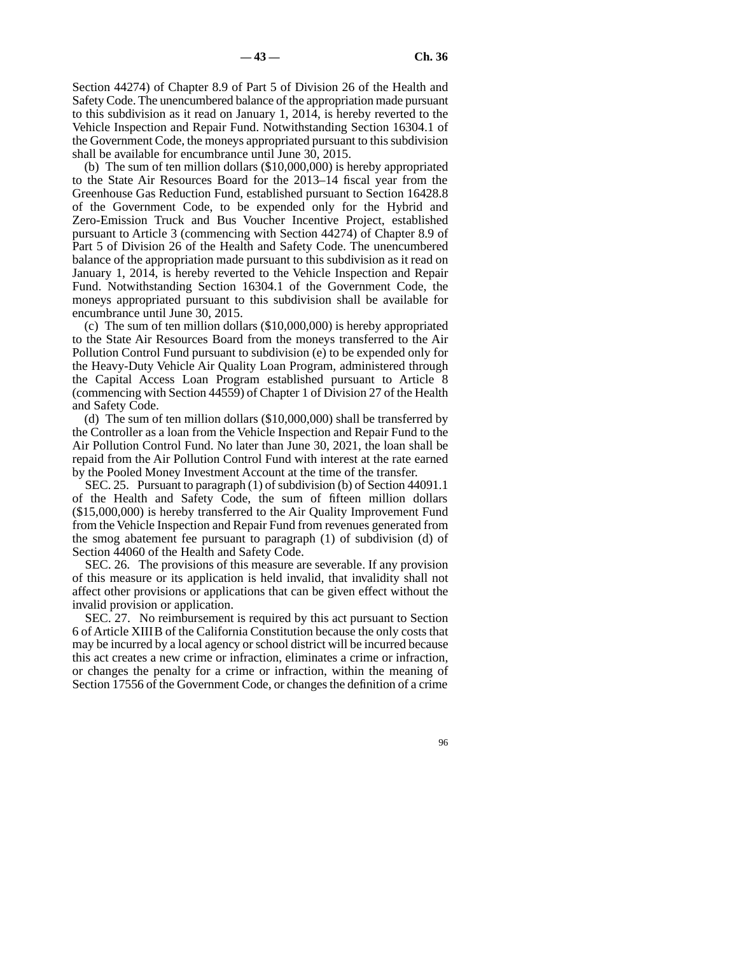Section 44274) of Chapter 8.9 of Part 5 of Division 26 of the Health and Safety Code. The unencumbered balance of the appropriation made pursuant to this subdivision as it read on January 1, 2014, is hereby reverted to the Vehicle Inspection and Repair Fund. Notwithstanding Section 16304.1 of the Government Code, the moneys appropriated pursuant to this subdivision shall be available for encumbrance until June 30, 2015.

(b) The sum of ten million dollars (\$10,000,000) is hereby appropriated to the State Air Resources Board for the 2013–14 fiscal year from the Greenhouse Gas Reduction Fund, established pursuant to Section 16428.8 of the Government Code, to be expended only for the Hybrid and Zero-Emission Truck and Bus Voucher Incentive Project, established pursuant to Article 3 (commencing with Section 44274) of Chapter 8.9 of Part 5 of Division 26 of the Health and Safety Code. The unencumbered balance of the appropriation made pursuant to this subdivision as it read on January 1, 2014, is hereby reverted to the Vehicle Inspection and Repair Fund. Notwithstanding Section 16304.1 of the Government Code, the moneys appropriated pursuant to this subdivision shall be available for encumbrance until June 30, 2015.

(c) The sum of ten million dollars (\$10,000,000) is hereby appropriated to the State Air Resources Board from the moneys transferred to the Air Pollution Control Fund pursuant to subdivision (e) to be expended only for the Heavy-Duty Vehicle Air Quality Loan Program, administered through the Capital Access Loan Program established pursuant to Article 8 (commencing with Section 44559) of Chapter 1 of Division 27 of the Health and Safety Code.

(d) The sum of ten million dollars (\$10,000,000) shall be transferred by the Controller as a loan from the Vehicle Inspection and Repair Fund to the Air Pollution Control Fund. No later than June 30, 2021, the loan shall be repaid from the Air Pollution Control Fund with interest at the rate earned by the Pooled Money Investment Account at the time of the transfer.

SEC. 25. Pursuant to paragraph (1) of subdivision (b) of Section 44091.1 of the Health and Safety Code, the sum of fifteen million dollars (\$15,000,000) is hereby transferred to the Air Quality Improvement Fund from the Vehicle Inspection and Repair Fund from revenues generated from the smog abatement fee pursuant to paragraph (1) of subdivision (d) of Section 44060 of the Health and Safety Code.

SEC. 26. The provisions of this measure are severable. If any provision of this measure or its application is held invalid, that invalidity shall not affect other provisions or applications that can be given effect without the invalid provision or application.

SEC. 27. No reimbursement is required by this act pursuant to Section 6 of Article XIIIB of the California Constitution because the only costs that may be incurred by a local agency or school district will be incurred because this act creates a new crime or infraction, eliminates a crime or infraction, or changes the penalty for a crime or infraction, within the meaning of Section 17556 of the Government Code, or changes the definition of a crime